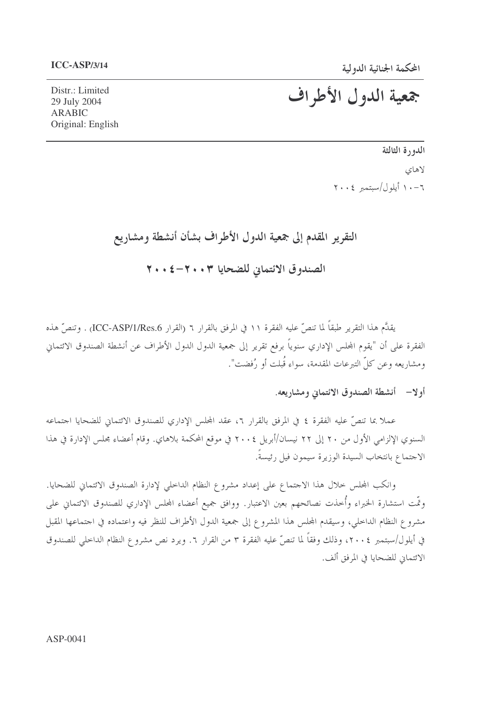# جمعية الدول الأطراف

Distr.: Limited 29 July 2004 **ARABIC** Original: English

> الدورة الثالثة لاهاي ٠٦- ١٠ أيلول/سبتمبر ٢٠٠٤

### التقرير المقدم إلى جمعية الدول الأطراف بشأن أنشطة ومشاريع

الصندوق الائتماني للضحايا ٢٠٠٣-٤ + ٢٠

يقدَّم هذا التقرير طبقاً لما تنصَّ عليه الفقرة ١١ في المرفق بالقرار ٦ (القرار ICC-ASP/1/Res.6) . وتنصّ هذه الفقرة على أن "يقوم المجلس الإداري سنوياً برفع تقرير إلى جمعية الدول الدول الأطراف عن أنشطة الصندوق الائتماني ومشاريعه وعن كلِّ التبرعات المقدمة، سواء قُبلت أو رُفضت".

### أولا— أنشطة الصندوق الائتماني ومشاريعه.

عملا بما تنصَّ عليه الفقرة ٤ في المرفق بالقرار ٦، عقد المحلس الإداري للصندوق الائتماني للضحايا اجتماعه السنوي الإلزامي الأول من ٢٠ إلى ٢٢ نيسان/أبريل ٢٠٠٤ في موقع المحكمة بلاهاي. وقام أعضاء مجلس الإدارة في هذا الاجتماع بانتخاب السيدة الوزيرة سيمون فيل رئيسةً.

وانكب المحلس حلال هذا الاجتماع على إعداد مشروع النظام الداحلي لإدارة الصندوق الائتماني للضحايا. وتَّمت استشارة الخبراء وأُخذت نصائحهم بعين الاعتبار. ووافق جميع أعضاء المحلس الإداري للصندوق الائتماني على مشروع النظام الداحلي، وسيقدم المجلس هذا المشروع إلى جمعية الدول الأطراف للنظر فيه واعتماده في احتماعها المقبل في أيلول/سبتمبر ٢٠٠٤، وذلك وفقاً لما تنصَّ عليه الفقرة ٣ من القرار ٦. ويرد نص مشروع النظام الداحلي للصندوق الائتمان للضحايا في المرفق ألف.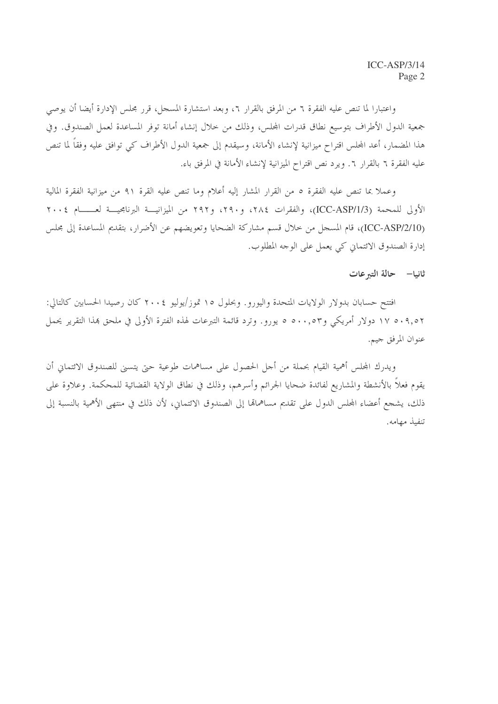واعتبارا لما تنص عليه الفقرة ٦ من المرفق بالقرار ٢، وبعد استشارة المسجل، قرر مجلس الإدارة أيضا أن يوصى جمعية الدول الأطراف بتوسيع نطاق قدرات المحلس، وذلك من خلال إنشاء أمانة توفر المساعدة لعمل الصندوق. وفي هذا المضمار، أعد المحلس اقتراح ميزانية لإنشاء الأمانة، وسيقدم إلى جمعية الدول الأطراف كبي توافق عليه وفقاً لما تنص عليه الفقرة ٦ بالقرار ٦. ويرد نص اقتراح الميزانية لإنشاء الأمانة في المرفق باء.

وعملاً بما تنص عليه الفقرة ٥ من القرار المشار إليه أعلام وما تنص عليه القرة ٩١ من ميزانية الفقرة المالية الأولى للمحمة (ICC-ASP/1/3)، والفقرات ٢٨٤، و٢٩٠، و٢٩٢ من الميزانيـــة البرنامجيـــة لعــــــام ٢٠٠٤ (ICC-ASP/2/10)، قام المسجل من خلال قسم مشاركة الضحايا وتعويضهم عن الأضرار، بتقديم المساعدة إلى مجلس إدارة الصندوق الائتماني كي يعمل على الوحه المطلوب.

#### ثانيا– حالة التبرعات

افتتح حسابان بدولار الولايات المتحدة واليورو. وبحلول ١٥ تموز/يوليو ٢٠٠٤ كان رصيدا الحسابين كالتالي: ١٧ ٥٠٩,٥٢ دولار أمريكي و٥٠٠,٥٣ ٥ يورو. وترد قائمة التبرعات لهذه الفترة الأولى في ملحق بمذا التقرير يحمل عنوان المرفق جيم.

ويدرك المحلس أهمية القيام بحملة من أجل الحصول على مساهمات طوعية حيّ يتسبى للصندوق الائتماني أن يقوم فعلاً بالأنشطة والمشاريع لفائدة ضحايا الجرائم وأسرهم، وذلك في نطاق الولاية القضائية للمحكمة. وعلاوة على ذلك، يشجع أعضاء المحلس الدول على تقديم مساهمالها إلى الصندوق الائتماني، لأن ذلك في منتهى الأهمية بالنسبة إلى تنفيذ مهامه.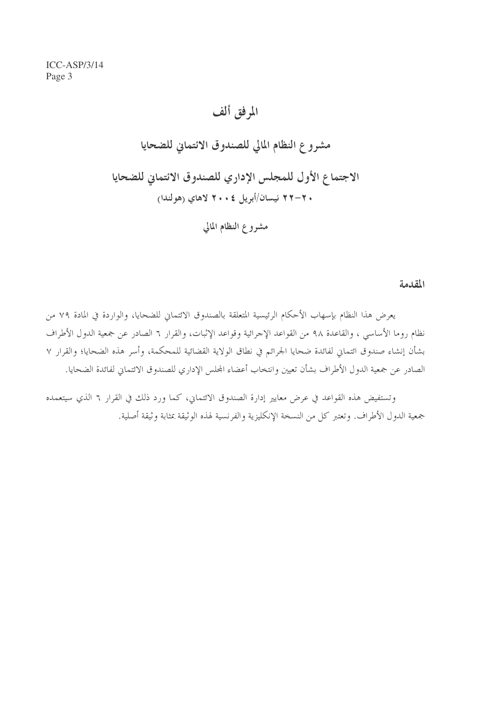> المرفق ألف مشروع النظام المالي للصندوق الائتماني للضحايا الاجتماع الأول للمجلس الإداري للصندوق الائتماني للضحايا . ٢–٢٢ نيسان/أبريل ٢٠٠٤ لاهاي (هولندا) مشروع النظام المالي

> > المقدمة

يعرض هذا النظام بإسهاب الأحكام الرئيسية المتعلقة بالصندوق الائتماني للضحايا، والواردة في المادة ٧٩ من نظام روما الأساسي ، والقاعدة ٩٨ من القواعد الإجرائية وقواعد الإثبات، والقرار ٦ الصادر عن جمعية الدول الأطراف بشأن إنشاء صندوق ائتماني لفائدة ضحايا الجرائم في نطاق الولاية القضائية للمحكمة، وأسر هذه الضحايا؛ والقرار ٧ الصادر عن جمعية الدول الأطراف بشأن تعيين وانتخاب أعضاء المحلس الإداري للصندوق الائتماني لفائدة الضحايا.

وتستفيض هذه القواعد في عرض معايير إدارة الصندوق الائتماني، كما ورد ذلك في القرار ٦ الذي سيتعمده جمعية الدول الأطراف. وتعتبر كل من النسخة الإنكليزية والفرنسية لهذه الوثيقة بمثابة وثيقة أصلية.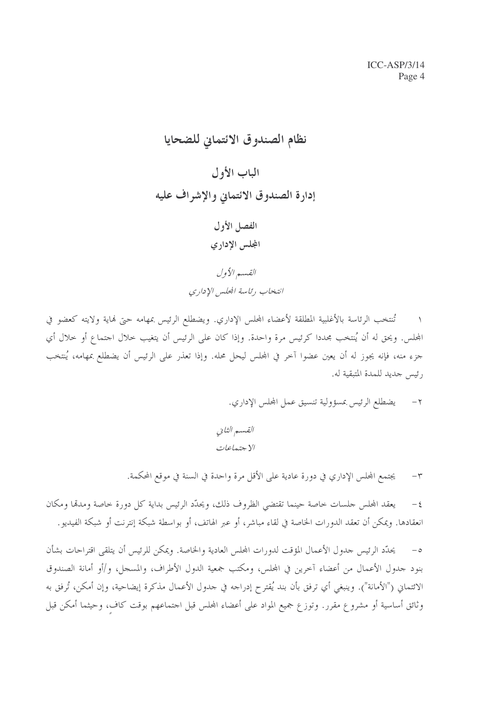نظام الصندوق الائتماني للضحايا الباب الأول إدارة الصندوق الائتماني والإشراف عليه الفصل الأول المجلس الإدارى القسير الأول

انتخاب رئاسة المجلس الإداري

تُنتخب الرئاسة بالأغلبية المطلقة لأعضاء المجلس الإداري. ويضطلع الرئيس بمهامه حتى نماية ولايته كعضو في المجلس. ويحق له أن يُنتخب مجددا كرئيس مرة واحدة. وإذا كان على الرئيس أن يتغيب خلال اجتماع أو خلال أي جزء منه، فإنه يجوز له أن يعين عضوا آخر في المجلس ليحل محله. وإذا تعذر على الرئيس أن يضطلع بمهامه، يُنتخب رئيس جديد للمدة المتبقية له.

٢ – يضطلع الرئيس بمسؤولية تنسيق عمل المحلس الإداري.

القسم الثاني الا جتما*عات* 

يجتمع المجلس الإداري في دورة عادية على الأقل مرة واحدة في السنة في موقع المحكمة.  $-\tau$ 

يعقد المجلس حلسات خاصة حينما تقتضى الظروف ذلك، ويحدَّد الرئيس بداية كل دورة خاصة ومدقما ومكان  $-\xi$ انعقادها. ويمكن أن تعقد الدورات الخاصة في لقاء مباشر، أو عبر الهاتف، أو بواسطة شبكة إنترنت أو شبكة الفيديو.

يحدَّد الرئيس جدول الأعمال المؤقت لدورات المجلس العادية والخاصة. ويمكن للرئيس أن يتلقى اقتراحات بشأن  $-\circ$ بنود جدول الأعمال من أعضاء آخرين في المحلس، ومكتب جمعية الدول الأطراف، والمسجل، و/أو أمانة الصندوق الائتماني ("الأمانة"). وينبغي أي ترفق بأن بند يُقترح إدراجه في جدول الأعمال مذكرة إيضاحية، وإن أمكن، تُرفق به وثائق أساسية أو مشروع مقرر. وتوزع جميع المواد على أعضاء المحلس قبل اجتماعهم بوقت كاف، وحيثما أمكن قبل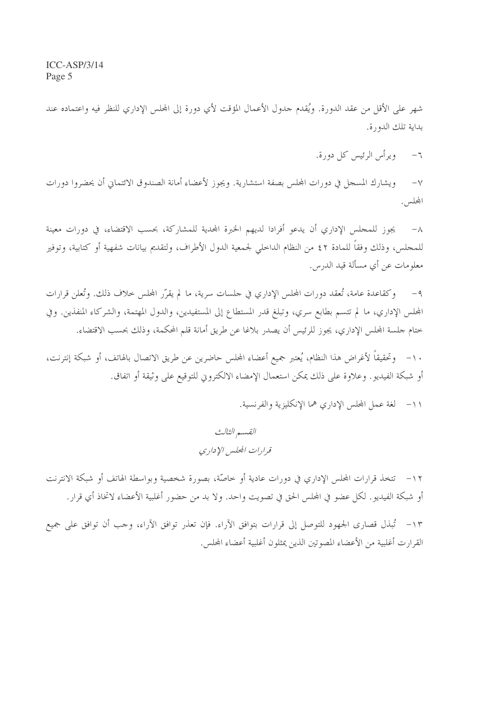شهر على الأقل من عقد الدورة. ويُقدم حدول الأعمال المؤقت لأي دورة إلى المجلس الإداري للنظر فيه واعتماده عند بداية تلك الدورة.

> ويرأس الرئيس كل دورة.  $-7$

ويشارك المسحل في دورات المحلس بصفة استشارية. ويجوز لأعضاء أمانة الصندوق الائتماني أن يحضروا دورات  $-\vee$ المجلس.

يجوز للمجلس الإداري أن يدعو أفرادا لديهم الخبرة المحدية للمشاركة، بحسب الاقتضاء، في دورات معينة  $-\lambda$ للمجلس، وذلك وفقاً للمادة ٤٢ من النظام الداحلي لجمعية الدول الأطراف، ولتقديم بيانات شفهية أو كتابية، وتوفير معلومات عن أي مسألة قيد الدرس.

وكقاعدة عامة، تُعقد دورات المجلس الإداري في حلسات سرية، ما لم يقرّر المجلس حلاف ذلك. وتُعلن قرارات  $-9$ المحلس الإداري، ما لم تتسم بطابع سري، وتبلغ قدر المستطاع إلى المستفيدين، والدول المهتمة، والشركاء المنفذين. وفي ختام حلسة المحلس الإداري، يجوز للرئيس أن يصدر بلاغا عن طريق أمانة قلم المحكمة، وذلك بحسب الاقتضاء.

١٠– وتحقيقاً لأغراض هذا النظام، يُعتبر جميع أعضاء المجلس حاضرين عن طريق الاتصال بالهاتف، أو شبكة إنترنت، أو شبكة الفيديو. وعلاوة على ذلك يمكن استعمال الإمضاء الالكتروني للتوقيع على وثيقة أو اتفاق.

١١- لغة عمل المجلس الإداري هما الإنكليزية والفرنسية.

القسم الثالث قرارات الجلس الإداري

١٢ – تتخذ قرارات المجلس الإداري في دورات عادية أو خاصَّة، بصورة شخصية وبواسطة الهاتف أو شبكة الانترنت أو شبكة الفيديو. لكل عضو في المجلس الحق في تصويت واحد. ولا بد من حضور أغلبية الأعضاء لاتخاذ أي قرار .

١٣- تُبذل قصاري الجمهود للتوصل إلى قرارات بتوافق الآراء. فإن تعذر توافق الآراء، وحب أن توافق على جميع القرارت أغلبية من الأعضاء المصوتين الذين يمثلون أغلبية أعضاء المحلس.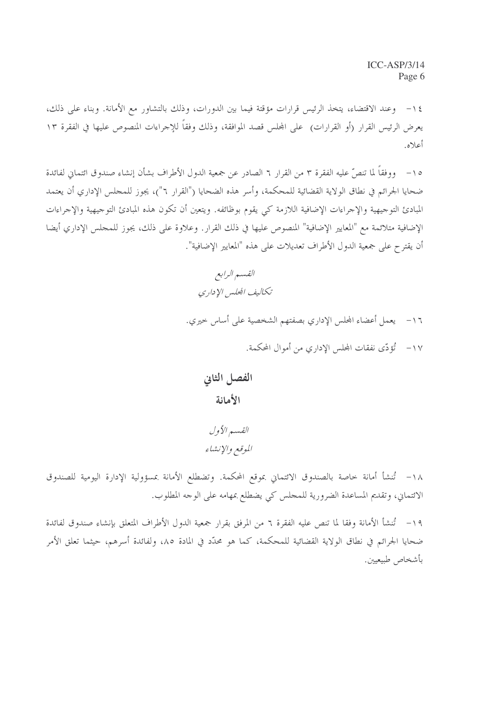١٤ - وعند الاقتضاء، يتخذ الرئيس قرارات مؤقتة فيما بين الدورات، وذلك بالتشاور مع الأمانة. وبناء على ذلك، يعرض الرئيس القرار (أو القرارات) على المحلس قصد الموافقة، وذلك وفقاً للإجراءات المنصوص عليها في الفقرة ١٣ أعلاه.

١٥– ووفقاً لما تنصُّ عليه الفقرة ٣ من القرار ٦ الصادر عن جمعية الدول الأطراف بشأن إنشاء صندوق ائتماني لفائدة ضحايا الجرائم في نطاق الولاية القضائية للمحكمة، وأسر هذه الضحايا ("القرار ٦")، يجوز للمحلس الإداري أن يعتمد المبادئ التوجيهية والإجراءات الإضافية اللازمة كي يقوم بوظائفه. ويتعين أن تكون هذه المبادئ التوجيهية والإجراءات الإضافية متلائمة مع "المعايير الإضافية" المنصوص عليها في ذلك القرار. وعلاوة على ذلك، يجوز للمجلس الإداري أيضا أن يقترح على جمعية الدول الأطراف تعديلات على هذه "المعايير الإضافية".

- ١٦- يعمل أعضاء المحلس الإداري بصفتهم الشخصية على أساس خيري.
	- ١٧- ثَوْدّي نفقات المجلس الإداري من أموال المحكمة.

الفصل الثاني الأمانة

القسير الأول الموقع والإنشاء

١٨- تُنشأ أمانة خاصة بالصندوق الائتماني بموقع المحكمة. وتضطلع الأمانة بمسؤولية الإدارة اليومية للصندوق الائتماني، وتقديم المساعدة الضرورية للمجلس كي يضطلع بمهامه على الوجه المطلوب.

١٩- تُنشأ الأمانة وفقا لما تنص عليه الفقرة ٦ من المرفق بقرار جمعية الدول الأطراف المتعلق بإنشاء صندوق لفائدة ضحايا الجرائم في نطاق الولاية القضائية للمحكمة، كما هو محدّد في المادة ٨٥، ولفائدة أسرهم، حيثما تعلق الأمر بأشخاص طبيعيين.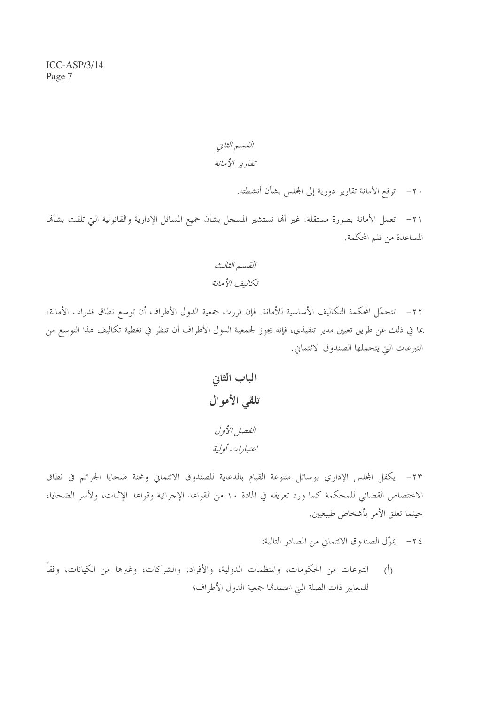القسم الثاني تقاريه الأمانة

٢٠ – ترفع الأمانة تقارير دورية إلى المحلس بشأن أنشطته.

٢١– تعمل الأمانة بصورة مستقلة. غير ألها تستشير المسحل بشأن جميع المسائل الإدارية والقانونية التي تلقت بشألها المساعدة من قلم المحكمة.

٢٢– تتحمَّل المحكمة التكاليف الأساسية للأمانة. فإن قررت جمعية الدول الأطراف أن توسع نطاق قدرات الأمانة، بما في ذلك عن طريق تعيين مدير تنفيذي، فإنه يجوز لجمعية الدول الأطراف أن تنظر في تغطية تكاليف هذا التوسع من التبرعات التي يتحملها الصندوق الائتماني.

٢٣- يكفل المحلس الإداري بوسائل متنوعة القيام بالدعاية للصندوق الائتماني ومحنة ضحايا الجرائم في نطاق الاختصاص القضائي للمحكمة كما ورد تعريفه في المادة ١٠ من القواعد الإجرائية وقواعد الإثبات، ولأسر الضحايا، حيثما تعلق الأمر بأشخاص طبيعيين.

٢٤- يموّل الصندوق الائتماني من المصادر التالية:

التبرعات من الحكومات، والمنظمات الدولية، والأفراد، والشركات، وغيرها من الكيانات، وفقاً  $(\mathfrak{h})$ للمعايير ذات الصلة التي اعتمدهّا جمعية الدول الأطراف؛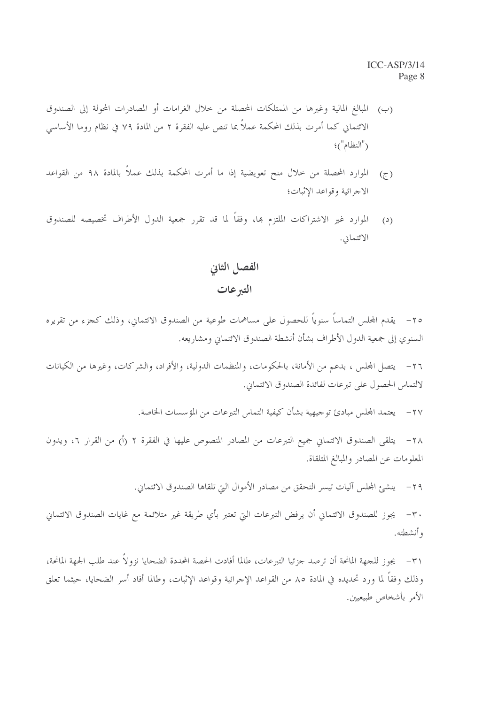- (ب) المبالغ المالية وغيرها من الممتلكات المحصلة من حلال الغرامات أو المصادرات المحولة إلى الصندوق الائتماني كما أمرت بذلك المحكمة عملاً بما تنص عليه الفقرة ٢ من المادة ٧٩ في نظام روما الأساسي ("النظام")؛
- الموارد المحصلة من خلال منح تعويضية إذا ما أمرت المحكمة بذلك عملاً بالمادة ٩٨ من القواعد  $(7)$ الاجرائية وقواعد الإثبات؛
- الموارد غير الاشتراكات الملتزم بها، وفقاً لما قد تقرر جمعية الدول الأطراف تخصيصه للصندوق  $(2)$ الائتماني.

الفصل الثاني التبرعات

٢٥– يقدم المجلس التماساً سنوياً للحصول على مساهمات طوعية من الصندوق الائتماني، وذلك كجزء من تقريره السنوي إلى جمعية الدول الأطراف بشأن أنشطة الصندوق الائتماني ومشاريعه.

٢٦– يتصل المجلس ، بدعم من الأمانة، بالحكومات، والمنظمات الدولية، والأفراد، والشركات، وغيرها من الكيانات لالتماس الحصول على تبرعات لفائدة الصندوق الائتماني.

٢٧– يعتمد المجلس مبادئ توجيهية بشأن كيفية التماس التبرعات من المؤسسات الخاصة.

٢٨ - يتلقى الصندوق الائتماني جميع التبرعات من المصادر المنصوص عليها في الفقرة ٢ (أ) من القرار ٢، ويدون المعلومات عن المصادر والمبالغ المتلقاة.

٢٩ - ينشئ المجلس آليات تيسر التحقق من مصادر الأموال التي تلقاها الصندوق الائتماني.

٣٠- يجوز للصندوق الائتماني أن يرفض التبرعات التي تعتبر بأي طريقة غير متلائمة مع غايات الصندوق الائتماني و أنشطته.

٣١– يجوز للجهة المانحة أن ترصد جزئيا التبرعات، طالما أفادت الحصة المحددة الضحايا نزولاً عند طلب الجهة المانحة، وذلك وفقاً لما ورد تحديده في المادة ٨٥ من القواعد الإجرائية وقواعد الإثبات، وطالما أفاد أسر الضحايا، حيثما تعلق الأمر بأشخاص طبيعيين.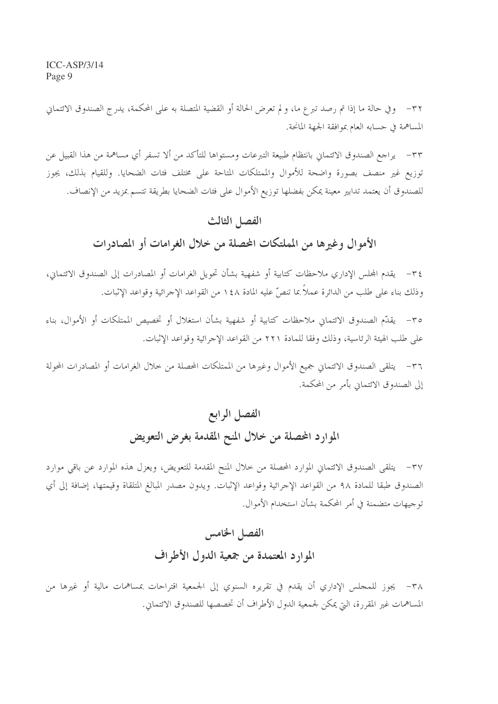٣٢– وفي حالة ما إذا تم رصد تبرع ما، و لم تعرض الحالة أو القضية المتصلة به على المحكمة، يدرج الصندوق الائتماني المساهمة في حسابه العام بموافقة الجهة المانحة.

٣٣– يراجع الصندوق الائتماني بانتظام طبيعة التبرعات ومستواها للتأكد من ألا تسفر أي مساهمة من هذا القبيل عن توزيع غير منصف بصورة واضحة للأموال والممتلكات المتاحة على مختلف فئات الضحايا. وللقيام بذلك، يجوز للصندوق أن يعتمد تدابير معينة يمكن بفضلها توزيع الأموال على فئات الضحايا بطريقة تتسم بمزيد من الإنصاف.

#### الفصل الثالث

### الأموال وغيرها من المملتكات المحصلة من خلال الغرامات أو المصادرات

٣٤ – يقدم المجلس الإداري ملاحظات كتابية أو شفهية بشأن تحويل الغرامات أو المصادرات إلى الصندوق الائتماني، وذلك بناء على طلب من الدائرة عملاً بما تنصُّ عليه المادة ١٤٨ من القواعد الإجرائية وقواعد الإثبات.

٣٥– يقدِّم الصندوق الائتماني ملاحظات كتابية أو شفهية بشأن استغلال أو تخصيص الممتلكات أو الأموال، بناء على طلب الهيئة الرئاسية، وذلك وفقا للمادة ٢٢١ من القواعد الإجرائية وقواعد الإثبات.

٣٦– يتلقى الصندوق الائتماني جميع الأموال وغيرها من الممتلكات المحصلة من خلال الغرامات أو المصادرات المحولة إلى الصندوق الائتماني بأمر من المحكمة.

# الفصل الرابع الموارد المحصلة من خلال المنح المقدمة بغرض التعويض

٣٧– يتلقى الصندوق الائتماني الموارد المحصلة من خلال المنح المقدمة للتعويض، ويعزل هذه الموارد عن باقي موارد الصندوق طبقا للمادة ٩٨ من القواعد الإجرائية وقواعد الإثبات. ويدون مصدر المبالغ المتلقاة وقيمتها، إضافة إلى أي توجيهات متضمنة في أمر المحكمة بشأن استخدام الأموال.

## الفصل الخامس الموارد المعتمدة من جمعية الدول الأطراف

٣٨– يجوز للمجلس الإداري أن يقدم في تقريره السنوي إلى الجمعية اقتراحات بمساهمات مالية أو غيرها من المساهمات غير المقررة، التي يمكن لجمعية الدول الأطراف أن تخصصها للصندوق الائتماني.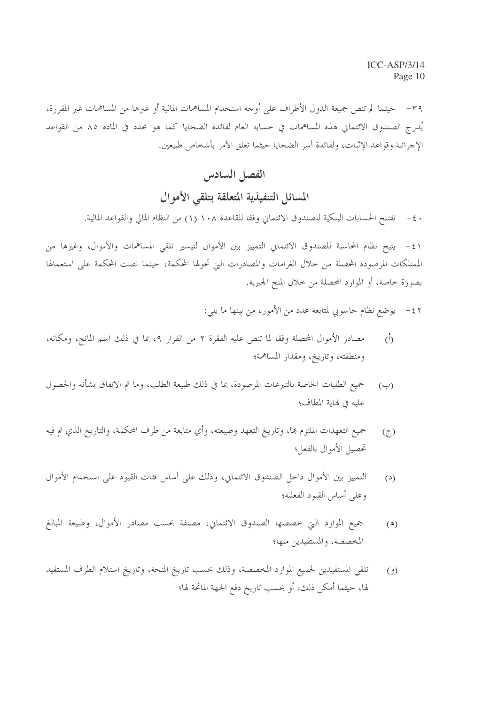٣٩– حيثما لم تنص جميعة الدول الأطراف على أوجه استخدام المساهمات المالية أو غيرها من المساهمات غير المقررة، يُدرج الصندوق الائتماني هذه المساهمات في حسابه العام لفائدة الضحايا كما هو محدد في المادة ٨٥ من القواعد الإجرائية وقواعد الإثبات، ولفائدة أسر الضحايا حيثما تعلق الأمر بأشخاص طبيعين.

## الفصل السادس المسائل التنفيذية المتعلقة بتلقى الأموال

تفتتح الحسابات البنكية للصندوق الائتماني وفقا للقاعدة ١٠٨ (١) من النظام المالي والقواعد المالية.  $-\epsilon$ .

٤١ - يتيح نظام المحاسبة للصندوق الائتماني التمييز بين الأموال لتيسير تلقى المساهمات والأموال، وغيرها من الممتلكات المرصودة المحصلة من خلال الغرامات والمصادرات التي تحولها المحكمة، حيثما نصت المحكمة على استعمالها بصورة خاصة، أو الموارد المحصلة من خلال المنح الجبرية.

> يوضع نظام حاسوبي لمتابعة عدد من الأمور، من بينها ما يلي:  $-\xi$

- مصادر الأموال المحصلة وفقا لما تنص عليه الفقرة ٢ من القرار ٤، بما في ذلك اسم المانح، ومكانه،  $(\dot{b})$ ومنطقته، وتاريخ، ومقدار المساهمة؛
- جميع الطلبات الخاصة بالتبرعات المرصودة، بما في ذلك طبيعة الطلب، وما تم الاتفاق بشأنه والحصول  $(\hookrightarrow)$ عليه في نماية المطاف؛
- جميع التعهدات الملتزم بما، وتاريخ التعهد وطبيعته، وأي متابعة من طرف المحكمة، والتاريخ الذي تم فيه  $(5)$ تحصيل الأموال بالفعل؛
- التمييز بين الأموال داخل الصندوق الائتماني، وذلك على أساس فئات القيود على استخدام الأموال  $(3)$ وعلى أساس القيود الفعلية؛
- جميع الموارد التي خصصها الصندوق الائتماني، مصنفة بحسب مصادر الأموال، وطبيعة المبالغ  $(\mathbb{A})$ المخصصة، والمستفيدين منها؛
- تلقى المستفيدين لجميع الموارد المخصصة، وذلك بحسب تاريخ المنحة، وتاريخ استلام الطرف المستفيد  $(2)$ لها، حيثما أمكن ذلك، أو بحسب تاريخ دفع الجهة المانحة لها؛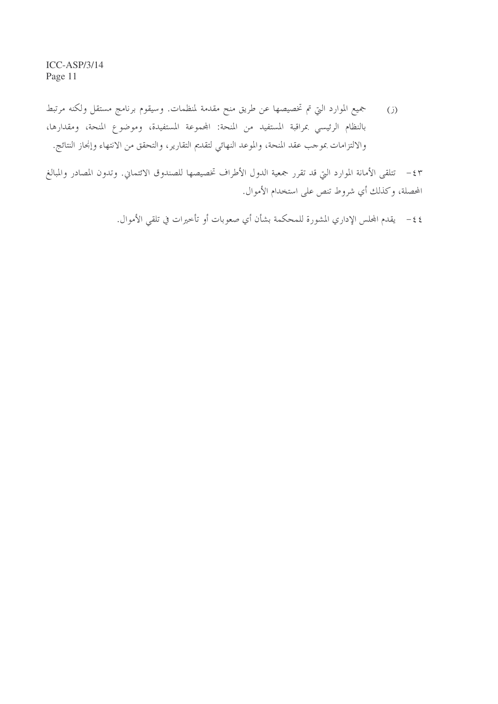جميع الموارد التي تم تخصيصها عن طريق منح مقدمة لمنظمات. وسيقوم برنامج مستقل ولكنه مرتبط  $(i)$ بالنظام الرئيسي بمراقبة المستفيد من المنحة: المجموعة المستفيدة، وموضوع المنحة، ومقدارها، والالتزامات بموجب عقد المنحة، والموعد النهائي لتقديم التقارير، والتحقق من الانتهاء وإنحاز النتائج.

٤٣ – تتلقى الأمانة الموارد التي قد تقرر جمعية الدول الأطراف تخصيصها للصندوق الائتماني. وتدون المصادر والمبالغ المحصلة، وكذلك أي شروط تنص على استخدام الأموال.

٤٤ – يقدم المجلس الإداري المشورة للمحكمة بشأن أي صعوبات أو تأخيرات في تلقى الأموال.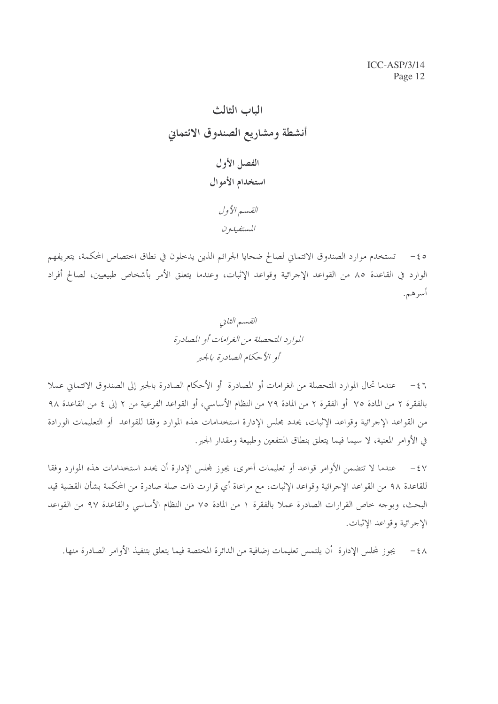تستخدم موارد الصندوق الائتماني لصالح ضحايا الجرائم الذين يدخلون في نطاق اختصاص المحكمة، يتعريفهم  $-\xi$  0 الوارد في القاعدة ٨٥ من القواعد الإجرائية وقواعد الإثبات، وعندما يتعلق الأمر بأشخاص طبيعيين، لصالح أفراد أسرهم.

٤٦ - عندما تحال الموارد المتحصلة من الغرامات أو المصادرة أو الأحكام الصادرة بالجبر إلى الصندوق الائتماني عملا بالفقرة ٢ من المادة ٧٥ أو الفقرة ٢ من المادة ٧٩ من النظام الأساسي، أو القواعد الفرعية من ٢ إلى ٤ من القاعدة ٩٨ من القواعد الإجرائية وقواعد الإثبات، يحدد مجلس الإدارة استخدامات هذه الموارد وفقا للقواعد أو التعليمات الورادة في الأوامر المعنية، لا سيما فيما يتعلق بنطاق المنتفعين وطبيعة ومقدار الجبر .

عندما لا تتضمن الأوامر قواعد أو تعليمات أحرى، يجوز لمحلس الإدارة أن يحدد استخدامات هذه الموارد وفقا  $-\xi V$ للقاعدة ٩٨ من القواعد الإجرائية وقواعد الإثبات، مع مراعاة أي قرارت ذات صلة صادرة من المحكمة بشأن القضية قيد البحث، وبوجه خاص القرارات الصادرة عملاً بالفقرة ١ من المادة ٧٥ من النظام الأساسي والقاعدة ٩٧ من القواعد الإجرائية وقواعد الإثبات.

يجوز لمجلس الإدارة أن يلتمس تعليمات إضافية من الدائرة المختصة فيما يتعلق بتنفيذ الأوامر الصادرة منها.  $-\xi \wedge$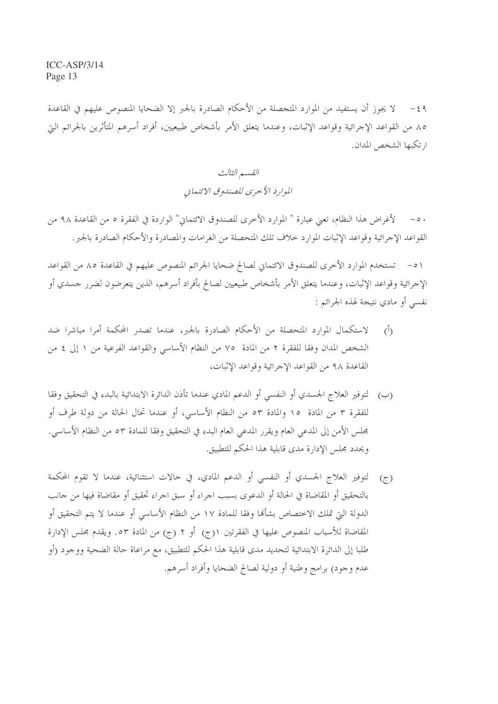٤٩ – لا يجوز أن يستفيد من الموارد المتجصلة من الأحكام الصادرة بالجبر إلا الضحايا المنصوص عليهم في القاعدة ٨٥ من القواعد الإجرائية وقواعد الإثبات، وعندما يتعلق الأمر بأشخاص طبيعيين، أفراد أسرهم المتأثرين بالجرائم التي ارتكبها الشخص المدان.

> القسم الثالث الموارد الأحرى للصندو في الائتماني

لأغراض هذا النظام، تعني عبارة " الموارد الأخرى للصندوق الائتماني" الواردة في الفقرة ٥ من القاعدة ٩٨ من  $-\circ \cdot$ القواعد الإجرائية وقواعد الإثبات الموارد حلاف تلك المتحصلة من الغرامات والمصادرة والأحكام الصادرة بالجبر.

٥١ – تستخدم الموارد الأخرى للصندوق الائتماني لصالح ضحايا الجرائم المنصوص عليهم في القاعدة ٨٥ من القواعد الإجرائية وقواعد الإثبات، وعندما يتعلق الأمر بأشخاص طبيعيين لصالح بأفراد أسرهم، الذين يتعرضون لضرر حسدي أو نفسي أو مادي نتيجة لهذه الجرائم :

- لاستكمال الموارد المتحصلة من الأحكام الصادرة بالجبر، عندما تصدر المحكمة أمرا مباشرا ضد  $(1)$ الشخص المدان وفقا للفقرة ٢ من المادة ٧٥ من النظام الأساسي والقواعد الفرعية من ١ إلى ٤ من القاعدة ٩٨ من القواعد الإجرائية وقواعد الإثبات،
- (ب) لتوفير العلاج الجسدي أو النفسي أو الدعم المادي عندما تأذن الدائرة الابتدائية بالبدء في التحقيق وفقا للفقرة ٣ من المادة ١٥ والمادة ٥٣ من النظام الأساسي، أو عندما تحال الحالة من دولة طرف أو مجلس الأمن إلى المدعى العام ويقرر المدعى العام البدء في التحقيق وفقا للمادة ٥٣ من النظام الأساسي. ويحدد مجلس الإدارة مدى قابلية هذا الحكم للتطبيق.
- (ج) لتوفير العلاج الجسدي أو النفسي أو الدعم المادي، في حالات استثنائية، عندما لا تقوم المحكمة بالتحقيق أو المقاضاة في الحالة أو الدعوى بسبب اجراء أو سبق اجراء تحقيق أو مقاضاة فيها من جانب الدولة التيّ تملك الاختصاص بشأهًا وفقًا للمادة ١٧ من النظام الأساسي أو عندما لا يتم التحقيق أو المقاضاة للأسباب المنصوص عليها في الفقرتين ١(ج) أو ٢ (ج) من المادة ٥٣. ويقدم مجلس الإدارة طلبا إلى الدائرة الابتدائية لتحديد مدى قابلية هذا الحكم للتطبيق، مع مراعاة حالة الضحية ووجود (أو عدم وجود) برامج وطنية أو دولية لصالح الضحايا وأفراد أسرهم.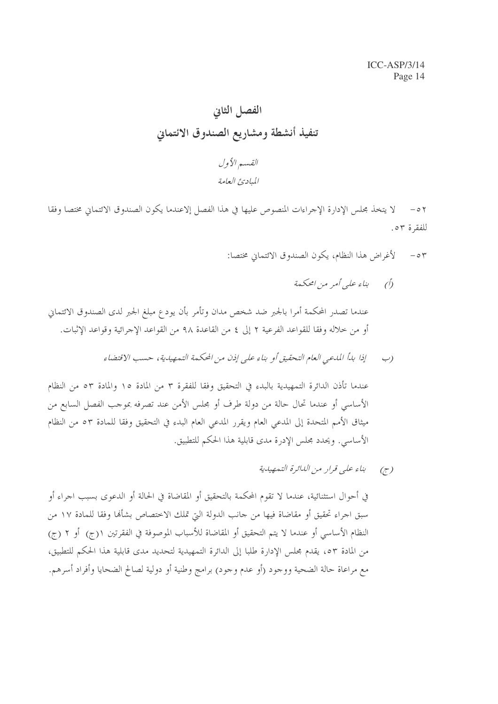# الفصل الثاني تنفيذ أنشطة ومشاريع الصندوق الائتماني القسير الأول

المبادئ العامة

لا يتخذ مجلس الإدارة الإجراءات المنصوص عليها في هذا الفصل إلاعندما يكون الصندوق الائتماني مختصا وفقا  $-0<sup>7</sup>$ للفقرة ٥٣.

- لأغراض هذا النظام، يكون الصندوق الائتماني مختصا:  $-\circ r$ 
	- (أ) بناء علي أمر من امحكمة

عندما تصدر المحكمة أمرا بالجبر ضد شخص مدان وتأمر بأن يودع مبلغ الجبر لدى الصندوق الائتماني أو من خلاله وفقا للقواعد الفرعية ٢ إلى ٤ من القاعدة ٩٨ من القواعد الإجرائية وقواعد الإثبات.

> إذا بدأ المدعى العام التحقيق أو بناء على إذن من المحكمة التمهيدية، حسب الاقتضاء  $\left(\begin{array}{c} \sim \ \sim \end{array}\right)$

عندما تأذن الدائرة التمهيدية بالبدء في التحقيق وفقا للفقرة ٣ من المادة ١٥ والمادة ٥٣ من النظام الأساسي أو عندما تحال حالة من دولة طرف أو مجلس الأمن عند تصرفه بموجب الفصل السابع من ميثاق الأمم المتحدة إلى المدعي العام ويقرر المدعي العام البدء في التحقيق وفقا للمادة ٥٣ من النظام الأساسي. ويحدد مجلس الإدرة مدى قابلية هذا الحكم للتطبيق.

> بناء على قرار من الللأرة التمهيلية  $(\tilde{\zeta})$

في أحوال استثنائية، عندما لا تقوم المحكمة بالتحقيق أو المقاضاة في الحالة أو الدعوى بسبب اجراء أو سبق اجراء تحقيق أو مقاضاة فيها من حانب الدولة التي تملك الاختصاص بشألها وفقا للمادة ١٧ من النظام الأساسي أو عندما لا يتم التحقيق أو المقاضاة للأسباب الموصوفة في الفقرتين ١(ج) أو ٢ (ج) من المادة ٥٣، يقدم مجلس الإدارة طلبا إلى الدائرة التمهيدية لتحديد مدى قابلية هذا الحكم للتطبيق، مع مراعاة حالة الضحية ووجود (أو عدم وجود) برامج وطنية أو دولية لصالح الضحايا وأفراد أسرهم.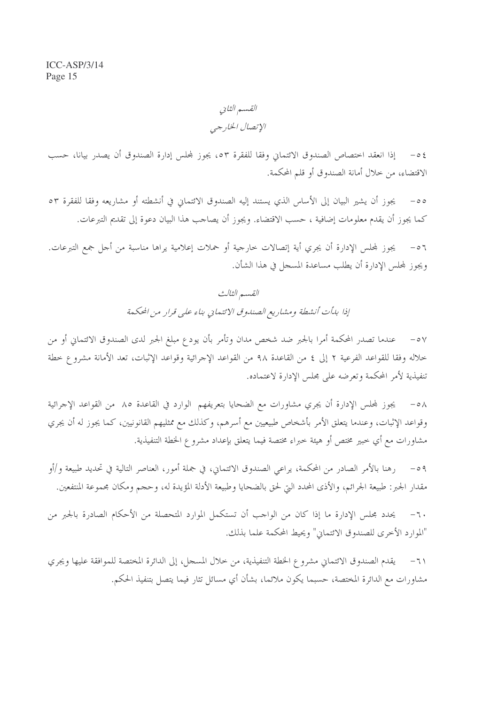القسم الثاني الإتصال الخارجي

إذا انعقد اختصاص الصندوق الائتماني وفقا للفقرة ٥٣، يجوز لمجلس إدارة الصندوق أن يصدر بيانا، حسب  $-05$ الاقتضاء، من حلال أمانة الصندوق أو قلم المحكمة.

يجوز أن يشير البيان إلى الأساس الذي يستند إليه الصندوق الائتماني في أنشطته أو مشاريعه وفقا للفقرة ٥٣  $-\circ \circ$ كما يجوز أن يقدم معلومات إضافية ، حسب الاقتضاء. ويجوز أن يصاحب هذا البيان دعوة إلى تقديم التبرعات.

يجوز لمجلس الإدارة أن يجري أية إتصالات خارجية أو حملات إعلامية يراها مناسبة من أجل جمع التبرعات.  $-07$ ويجوز لمحلس الإدارة أن يطلب مساعدة المسجل في هذا الشأن.

## القسم الثالث إذا بدأت أنشطة ومشاريع الصندوق الائتماني بناء على قرار من المحكمة

عندما تصدر المحكمة أمرا بالجبر ضد شخص مدان وتأمر بأن يودع مبلغ الجبر لدى الصندوق الائتماني أو من  $- \circ \vee$ خلاله وفقا للقواعد الفرعية ٢ إلى ٤ من القاعدة ٩٨ من القواعد الإجرائية وقواعد الإثبات، تعد الأمانة مشروع خطة تنفيذية لأمر المحكمة وتعرضه على مجلس الإدارة لاعتماده.

يجوز لمحلس الإدارة أن يجري مشاورات مع الضحايا بتعريفهم الوارد في القاعدة ٨٥ من القواعد الإجرائية  $-\circ \wedge$ وقواعد الإثبات، وعندما يتعلق الأمر بأشخاص طبيعيين مع أسرهم، وكذلك مع ممثليهم القانونيين، كما يجوز له أن يجري مشاورات مع أي خبير مختص أو هيئة خبراء مختصة فيما يتعلق بإعداد مشروع الخطة التنفيذية.

رهنا بالأمر الصادر من المحكمة، يراعى الصندوق الائتماني، في جملة أمور، العناصر التالية في تحديد طبيعة و/أو  $-09$ مقدار الجبر: طبيعة الجرائم، والأذى المحدد التي لحق بالضحايا وطبيعة الأدلة المؤيدة له، وحجم ومكان محموعة المنتفعين.

يحدد مجلس الإدارة ما إذا كان من الواجب أن تستكمل الموارد المتحصلة من الأحكام الصادرة بالجبر من  $-7.$ "الموارد الأخرى للصندوق الائتماني" ويحيط المحكمة علما بذلك.

يقدم الصندوق الائتماني مشروع الخطة التنفيذية، من حلال المسجل، إلى الدائرة المختصة للموافقة عليها ويجري  $\mathcal{L}$ مشاورات مع الدائرة المختصة، حسبما يكون ملائما، بشأن أي مسائل تثار فيما يتصل بتنفيذ الحكم.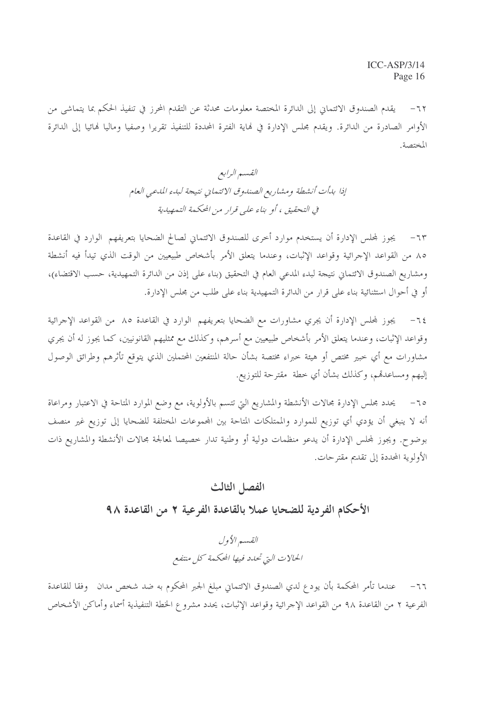يقدم الصندوق الائتماني إلى الدائرة المختصة معلومات محدثة عن التقدم المحرز في تنفيذ الحكم بما يتماشى من  $-77$ الأوامر الصادرة من الدائرة. ويقدم مجلس الإدارة في لهاية الفترة المحددة للتنفيذ تقريرا وصفيا وماليا لهائيا إلى الدائرة المختصة.

> القسم الرابع إذا بدأت أنشطة ومشاريع الصندوق الائتمايي نتيجة لبدء المدعى العام في التحقيق ، أو بناء على قرار من المحكمة التمهيدية

٦٣- - يجوز لمحلس الإدارة أن يستخدم موارد أحرى للصندوق الائتماني لصالح الضحايا بتعريفهم الوارد في القاعدة ٨٥ من القواعد الإجرائية وقواعد الإثبات، وعندما يتعلق الأمر بأشخاص طبيعيين من الوقت الذي تيدأ فيه أنشطة ومشاريع الصندوق الائتماني نتيجة لبدء المدعى العام في التحقيق (بناء على إذن من الدائرة التمهيدية، حسب الاقتضاء)، أو في أحوال استثنائية بناء على قرار من الدائرة التمهيدية بناء على طلب من مجلس الإدارة.

٦٤– يجوز لمحلس الإدارة أن يجري مشاورات مع الضحايا بتعريفهم الوارد في القاعدة ٨٥ من القواعد الإجرائية وقواعد الإثبات، وعندما يتعلق الأمر بأشخاص طبيعيين مع أسرهم، وكذلك مع ممثليهم القانونيين، كما يجوز له أن يجري مشاورات مع أي حبير مختص أو هيئة حبراء مختصة بشأن حالة المنتفعين المحتملين الذي يتوقع تأثرهم وطرائق الوصول إليهم ومساعدقم، وكذلك بشأن أي خطة ًمقترحة للتوزيع.

يحدد مجلس الإدارة مجالات الأنشطة والمشاريع التي تتسم بالأولوية، مع وضع الموارد المتاحة في الاعتبار ومراعاة  $-70$ أنه لا ينبغي أن يؤدي أي توزيع للموارد والممتلكات المتاحة بين المجموعات المختلفة للضحايا إلى توزيع غير منصف بوضوح. ويجوز لمحلس الإدارة أن يدعو منظمات دولية أو وطنية تدار خصيصا لمعالجة محالات الأنشطة والمشاريع ذات الأولوية المحددة إلى تقديم مقترحات.

#### الفصل الثالث

الأحكام الفر دية للضحايا عملا بالقاعدة الفرعية ٢ من القاعدة ٩٨

القسير الأول الحالات التي تحلدد فيها المحكمة كل منتفع

٦٦– عندما تأمر المحكمة بأن يودع لدي الصندوق الائتماني مبلغ الجبر المحكوم به ضد شخص مدان وفقا للقاعدة الفرعية ٢ من القاعدة ٩٨ من القواعد الإجرائية وقواعد الإثبات، يحدد مشروع الخطة التنفيذية أسماء وأماكن الأشخاص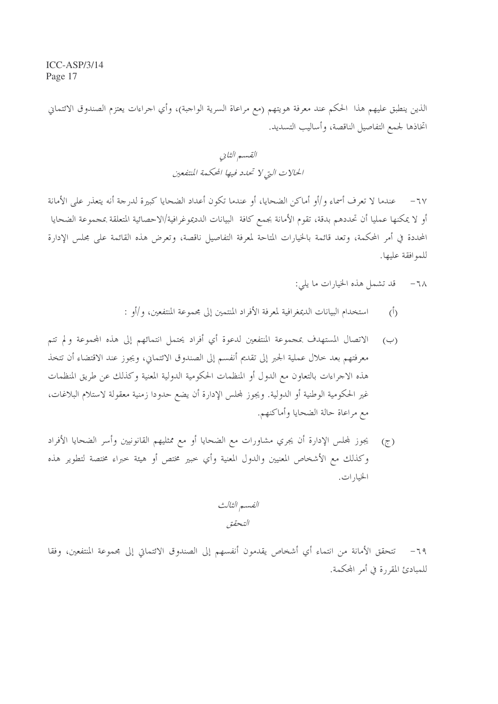الذين ينطبق عليهم هذا الحكم عند معرفة هويتهم (مع مراعاة السرية الواجبة)، وأي اجراءات يعتزم الصندوق الائتماني اتخاذها لجمع التفاصيل الناقصة، وأساليب التسديد.

> القسم الثاني الحالات التي لا تحدد فيها المحكمة المتفعين

عندما لا تعرف أسماء و/أو أماكن الضحايا، أو عندما تكون أعداد الضحايا كبيرة لدرجة أنه يتعذر على الأمانة  $-7V$ أو لا يمكنها عمليا أن تحددهم بدقة، تقوم الأمانة بجمع كافة البيانات الدديموغرافية/الاحصائية المتعلقة بمجموعة الضحايا المحددة في أمر المحكمة، وتعد قائمة بالخيارات المتاحة لمعرفة التفاصيل ناقصة، وتعرض هذه القائمة على مجلس الإدارة للموافقة عليها.

- قد تشمل هذه الخيارات ما يلي:  $-7<sub>A</sub>$
- استخدام البيانات الديمغرافية لمعرفة الأفراد المنتمين إلى مجموعة المنتفعين، و/أو :  $(\dot{0})$
- الاتصال المستهدف بمجموعة المنتفعين لدعوة أي أفراد يحتمل انتمائهم إلى هذه المحموعة ولم تتم  $(\hookrightarrow)$ معرفتهم بعد حلال عملية الجبر إلى تقديم أنفسم إلى الصندوق الائتماني، ويجوز عند الاقتضاء أن تتخذ هذه الاجراءات بالتعاون مع الدول أو المنظمات الحكومية الدولية المعنية وكذلك عن طريق المنظمات غير الحكومية الوطنية أو الدولية. ويجوز لمحلس الإدارة أن يضع حدودا زمنية معقولة لاستلام البلاغات، مع مراعاة حالة الضحايا وأماكنهم.
- يجوز لمجلس الإدارة أن يجري مشاورات مع الضحايا أو مع ممثليهم القانونيين وأسر الضحايا الأفراد  $(\tau)$ وكذلك مع الأشخاص المعنيين والدول المعنية وأي خبير مختص أو هيئة خبراء مختصة لتطوير هذه الخيارات.

الفسم الثالث التحقق

٦٩ – تتحقق الأمانة من انتماء أي أشخاص يقدمون أنفسهم إلى الصندوق الائتماني إلى بحموعة المنتفعين، وفقا للمبادئ المقررة في أمر المحكمة.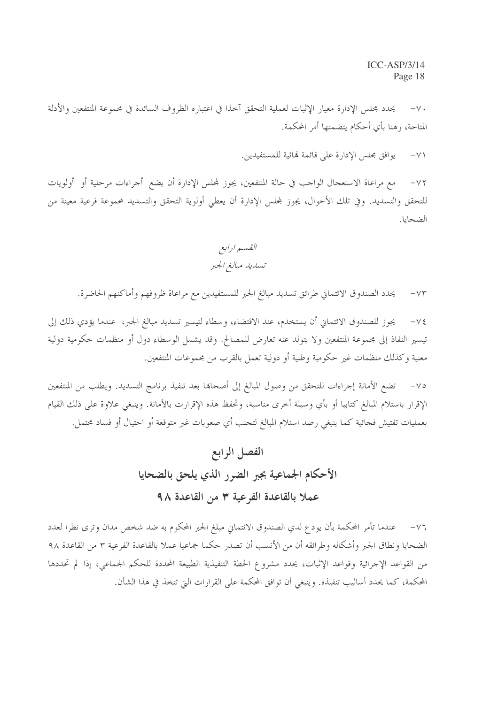يحدد مجلس الإدارة معيار الإثبات لعملية التحقق آخذا في اعتباره الظروف السائدة في مجموعة المنتفعين والأدلة  $-\vee$ . المتاحة، رهنا بأي أحكام يتضمنها أمر المحكمة.

> يوافق مجلس الإدارة على قائمة لهائية للمستفيدين.  $-\vee$

مع مراعاة الاستعجال الواحب في حالة المنتفعين، يجوز لمحلس الإدارة أن يضع أجراءات مرحلية أو أولويات  $-\vee\Upsilon$ للتحقق والتسديد. وفي تلك الأحوال، يجوز لمحلس الإدارة أن يعطي أولوية التحقق والتسديد لمحموعة فرعية معينة من الضحايا.

القسم ارابع تسليله مبالغ الجبر

يحدد الصندوق الائتماني طرائق تسديد مبالغ الجبر للمستفيدين مع مراعاة ظروفهم وأماكنهم الحاضرة.  $-\vee\Upsilon$ 

يجوز للصندوق الائتماني أن يستخدم، عند الاقتضاء، وسطاء لتيسير تسديد مبالغ الجبر، عندما يؤدي ذلك إلى  $-\vee \xi$ تيسير النفاذ إلى مجموعة المنتفعين ولا يتولد عنه تعارض للمصالح. وقد يشمل الوسطاء دول أو منظمات حكومية دولية معنية وكذلك منظمات غير حكومبة وطنية أو دولية تعمل بالقرب من مجموعات المنتفعين.

تضع الأمانة إجراءات للتحقق من وصول المبالغ إلى أصحاها بعد تنفيذ برنامج التسديد. ويطلب من المنتفعين  $-\vee$ الإقرار باستلام المبالغ كتابيا أو بأي وسيلة أحرى مناسبة، وتحفظ هذه الإقرارت بالأمانة. وينبغي علاوة على ذلك القيام بعمليات تفتيش فحائية كما ينبغى رصد استلام المبالغ لتحنب أي صعوبات غير متوقعة أو احتيال أو فساد محتمل.

# الفصل الرابع الأحكام الجماعية بجبر الضرر الذي يلحق بالضحايا عملا بالقاعدة الفرعية ٣ من القاعدة ٩٨

٧٦- عندما تأمر المحكمة بأن يودع لدي الصندوق الائتماني مبلغ الجبر المحكوم به ضد شخص مدان وترى نظرا لعدد الضحايا ونطاق الجبر وأشكاله وطرائقه أن من الأنسب أن تصدر حكما جماعيا عملا بالقاعدة الفرعية ٣ من القاعدة ٩٨ من القواعد الإجرائية وقواعد الإثبات، يحدد مشروع الخطة التنفيذية الطبيعة المحددة للحكم الجماعي، إذا لم تحددها المحكمة، كما يحدد أساليب تنفيذه. وينبغي أن توافق المحكمة على القرارات التي تتخذ في هذا الشأن.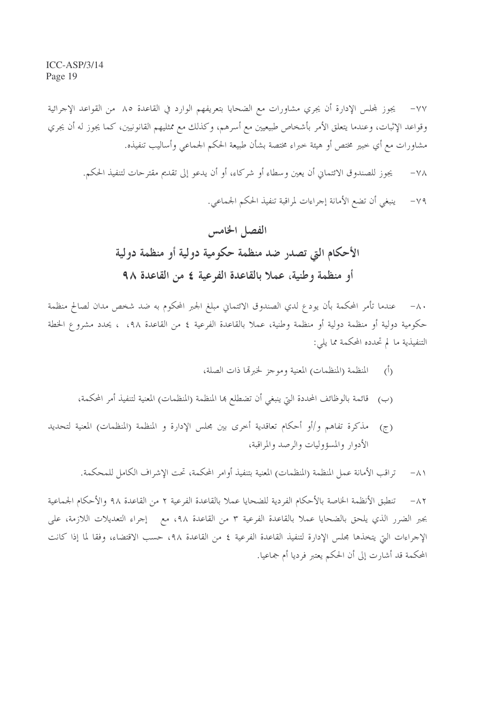يجوز لمجلس الإدارة أن يجري مشاورات مع الضحايا بتعريفهم الوارد في القاعدة ٨٥ من القواعد الإجرائية  $-\vee\vee$ وقواعد الإثبات، وعندما يتعلق الأمر بأشخاص طبيعيين مع أسرهم، وكذلك مع ممثليهم القانونيين، كما يجوز له أن يجري مشاورات مع أي خبير مختص أو هيئة خبراء مختصة بشأن طبيعة الحكم الجماعي وأساليب تنفيذه.

يجوز للصندوق الائتماني أن يعين وسطاء أو شركاء، أو أن يدعو إلى تقديم مقترحات لتنفيذ الحكم.  $-\sqrt{\Lambda}$ ينبغي أن تضع الأمانة إجراءات لمراقبة تنفيذ الحكم الجماعي.  $-\vee$  9

# الفصل الخامس الأحكام التي تصدر ضد منظمة حكومية دولية أو منظمة دولية أو منظمة وطنية، عملا بالقاعدة الفرعية ٤ من القاعدة ٩٨

٨٠- عندما تأمر المحكمة بأن يودع لدي الصندوق الائتماني مبلغ الجبر المحكوم به ضد شخص مدان لصالح منظمة حكومية دولية أو منظمة دولية أو منظمة وطنية، عملا بالقاعدة الفرعية ٤ من القاعدة ٩٨، ، ٤يحدد مشروع الخطة التنفيذية ما لم تحدده المحكمة مما يلي:

- المنظمة (المنظمات) المعنية وموجز لخبرتما ذات الصلة،  $\hat{(\cdot)}$
- قائمة بالوظائف المحددة التي ينبغي أن تضطلع ها المنظمة (المنظمات) المعنية لتنفيذ أمر المحكمة،  $(\hookrightarrow)$
- مذكرة تفاهم و/أو أحكام تعاقدية أحرى بين مجلس الإدارة و المنظمة (المنظمات) المعنية لتحديد  $(7)$ الأدوار والمسؤوليات والرصد والمراقبة،

تراقب الأمانة عمل المنظمة (المنظمات) المعنية بتنفيذ أوامر المحكمة، تحت الإشراف الكامل للمحكمة.  $-\Lambda$ 

تنطبق الأنظمة الخاصة بالأحكام الفردية للضحايا عملا بالقاعدة الفرعية ٢ من القاعدة ٩٨ والأحكام الجماعية  $-\lambda$ ٢ بجبر الضرر الذي يلحق بالضحايا عملا بالقاعدة الفرعية ٣ من القاعدة ٩٨، مع إجراء التعديلات اللازمة، على الإجراءات التي يتخذها مجلس الإدارة لتنفيذ القاعدة الفرعية ٤ من القاعدة ٩٨، حسب الاقتضاء، وفقا لما إذا كانت المحكمة قد أشارت إلى أن الحكم يعتبر فرديا أم جماعيا.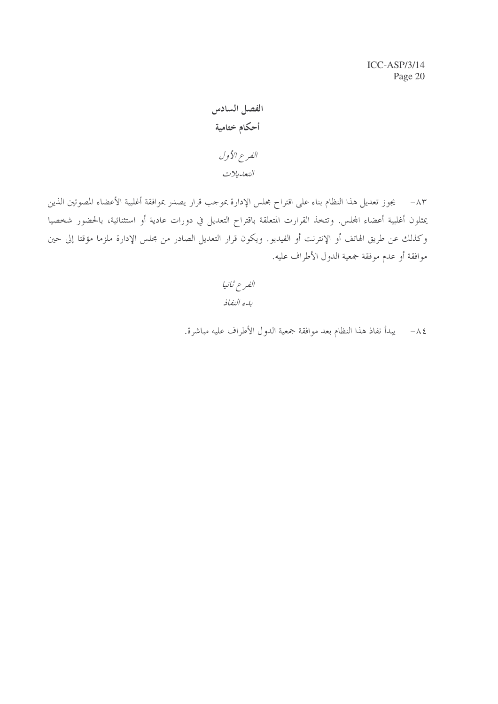الفصل السادس أحكام ختامية الفرع الأول التعديلات

٨٣ – يجوز تعديل هذا النظام بناء على اقتراح مجلس الإدارة بموجب قرار يصدر بموافقة أغلبية الأعضاء المصوتين الذين يمثلون أغلبية أعضاء المجلس. وتتخذ القرارت المتعلقة باقتراح التعديل في دورات عادية أو استثنائية، بالحضور شخصيا وكذلك عن طريق الهاتف أو الإنترنت أو الفيديو. ويكون قرار التعديل الصادر من مجلس الإدارة ملزما مؤقتا إلى حين موافقة أو عدم موفقة جمعية الدول الأطراف عليه.

> الفرع ثانيا بدء النفاذ

٨٤ – يبدأ نفاذ هذا النظام بعد موافقة جمعية الدول الأطراف عليه مباشرة.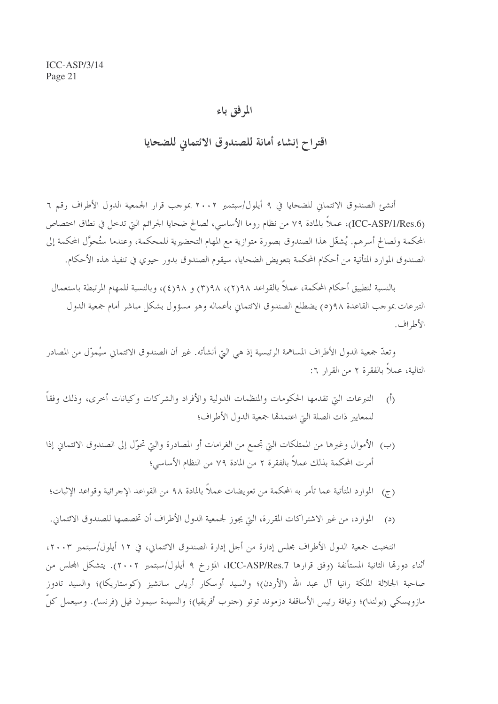### المرفق باء

اقتواح إنشاء أمانة للصندوق الائتماني للضحايا

أنشئ الصندوق الائتماني للضحايا في ٩ أيلول/سبتمبر ٢٠٠٢ بموحب قرار الجمعية الدول الأطراف رقم ٦ (ICC-ASP/1/Res.6)، عملاً بالمادة ٧٩ من نظام روما الأساسي، لصالح ضحايا الجرائم التي تدحل في نطاق اختصاص المحكمة ولصالح أسرهم. يُشغّل هذا الصندوق بصورة متوازية مع المهام التحضيرية للمحكمة، وعندما ستُحوَّل المحكمة إلى الصندوق الموارد المتأتية من أحكام المحكمة بتعويض الضحايا، سيقوم الصندوق بدور حيوى في تنفيذ هذه الأحكام.

بالنسبة لتطبيق أحكام المحكمة، عملاً بالقواعد ٩٨(٢)، ٩٨(٣) و ٩٨(٤)، وبالنسبة للمهام المرتبطة باستعمال التبرعات بموجب القاعدة ٩٨(٥) يضطلع الصندوق الائتماني بأعماله وهو مسؤول بشكل مباشر أمام جمعية الدول الأطراف.

وتعدّ جمعية الدول الأطراف المساهمة الرئيسية إذ هي التي أنشأته. غير أن الصندوق الائتماني سيُموّل من المصادر التالية، عملاً بالفقرة ٢ من القرار ٦:

- (أ) التبرعات البيّ تقدمها الحكومات والمنظمات الدولية والأفراد والشركات وكيانات أخرى، وذلك وفقاً للمعايير ذات الصلة التي اعتمدتما جمعية الدول الأطراف؛
- (ب) الأموال وغيرها من الممتلكات التي تجمع من الغرامات أو المصادرة والتي تحوّل إلى الصندوق الائتماني إذا أمرت المحكمة بذلك عملاً بالفقرة ٢ من المادة ٧٩ من النظام الأساسي؛
- (ج) \_ الموارد المتأتية عما تأمر به المحكمة من تعويضات عملاً بالمادة ٩٨ من القواعد الإجرائية وقواعد الإثبات؛
- الموارد، من غير الاشتراكات المقررة، التي يجوز لجمعية الدول الأطراف أن تخصصها للصندوق الائتماني.  $\epsilon$

انتخبت جمعية الدول الأطراف مجلس إدارة من أجل إدارة الصندوق الائتماني، في ١٢ أيلول/سبتمبر ٢٠٠٣، أثناء دورتما الثانية المستأنفة (وفق قرارها ICC-ASP/Res.7، المؤرخ ٩ أيلول/سبتمبر ٢٠٠٢). يتشكل المحلس من صاحبة الجلالة الملكة رانيا آل عبد الله (الأردن)؛ والسيد أوسكار أرياس سانشيز (كوستاريكا)؛ والسيد تادوز مازويسكي (بولندا)؛ ونيافة رئيس الأساقفة دزموند توتو (جنوب أفريقيا)؛ والسيدة سيمون فيل (فرنسا). وسيعمل كلّ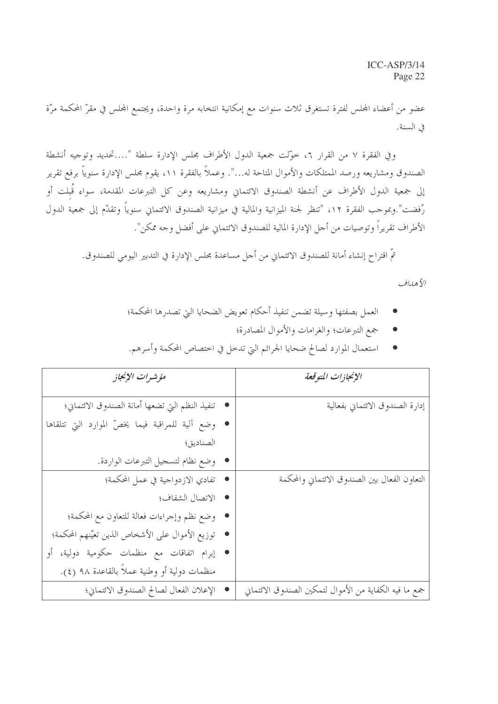عضو من أعضاء المحلس لفترة تستغرق ثلاث سنوات مع إمكانية انتخابه مرة واحدة، ويجتمع المحلس في مقرّ المحكمة مرّة في السنة.

وفي الفقرة ٧ من القرار ٦، حوَّلت جمعية الدول الأطراف مجلس الإدارة سلطة "....تحديد وتوجيه أنشطة الصندوق ومشاريعه ورصد الممتلكات والأموال المتاحة له...". وعملاً بالفقرة ١١، يقوم مجلس الإدارة سنوياً برفع تقرير إلى جمعية الدول الأطراف عن أنشطة الصندوق الائتماني ومشاريعه وعن كل التبرعات المقدمة، سواء قُبلت أو رُفضت".وبموجب الفقرة ١٢، "تنظر لجنة الميزانية والمالية في ميزانية الصندوق الائتماني سنوياً وتقدّم إلى جمعية الدول الأطراف تقريراً وتوصيات من أجل الإدارة المالية للصندوق الائتماني على أفضل وجه ممكن".

تمّ اقتراح إنشاء أمانة للصندوق الائتماني من أجل مساعدة مجلس الإدارة في التدبير اليومي للصندوق.

الأهلياف

- العمل بصفتها وسيلة تضمن تنفيذ أحكام تعويض الضحايا التي تصدرها المحكمة؛
	- جمع التبرعات؛ والغرامات والأموال المصادرة؛
- استعمال الموارد لصالح ضحايا الجرائم التي تدحل في احتصاص المحكمة وأسرهم.

| مؤشرات الإنجاز                                     | الإنجازات المتوقعة                                     |
|----------------------------------------------------|--------------------------------------------------------|
| • تنفيذ النظم التي تضعها أمانة الصندوق الائتماني؛  | إدارة الصندوق الائتماني بفعالية                        |
| • وضع آلية للمراقبة فيما يخصّ الموارد التي تتلقاها |                                                        |
| الصناديق؛                                          |                                                        |
| • وضع نظام لتسجيل التبرعات الواردة.                |                                                        |
| ● تفادي الازدواجية في عمل المحكمة؛                 | التعاون الفعال بين الصندوق الائتماني والمحكمة          |
| • الاتصال الشفاف؛                                  |                                                        |
| • وضع نظم وإجراءات فعالة للتعاون مع المحكمة؛       |                                                        |
| • توزيع الأموال على الأشخاص الذين تعيّنهم المحكمة؛ |                                                        |
| ● إبرام اتفاقات مع منظمات حكومية دولية، أو         |                                                        |
| منظمات دولية أو وطنية عملاً بالقاعدة ٩٨ (٤).       |                                                        |
| الإعلان الفعال لصالح الصندوق الائتماني؛            | جمع ما فيه الكفاية من الأموال لتمكين الصندوق الائتماني |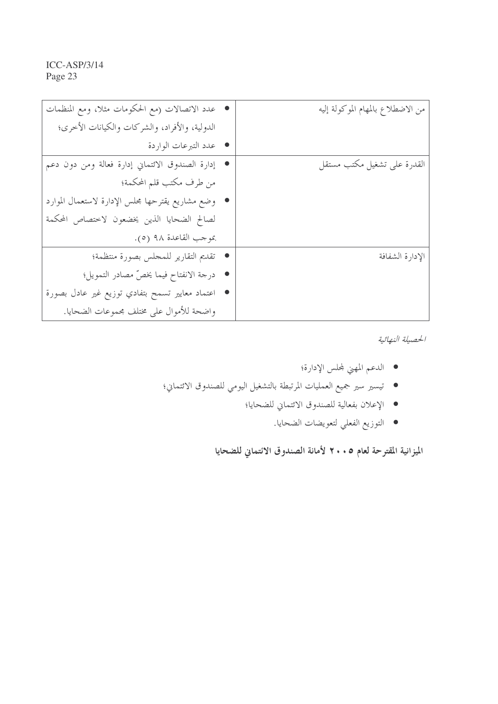| ● عدد الاتصالات (مع الحكومات مثلا، ومع المنظمات    | من الاضطلاع بالمهام الموكولة إليه |
|----------------------------------------------------|-----------------------------------|
| الدولية، والأفراد، والشركات والكيانات الأخرى؛      |                                   |
| • عدد التبرعات الواردة                             |                                   |
| • إدارة الصندوق الائتماني إدارة فعالة ومن دون دعم  | القدرة على تشغيل مكتب مستقل       |
| من طرف مكتب قلم المحكمة؛                           |                                   |
| • وضع مشاريع يقترحها مجلس الإدارة لاستعمال الموارد |                                   |
| لصالح الضحايا الذين يخضعون لاختصاص المحكمة         |                                   |
| بموجب القاعدة ٩٨ (٥).                              |                                   |
| • تقديم التقارير للمحلس بصورة منتظمة؛              | الإدارة الشفافة                   |
| ● درجة الانفتاح فيما يخصّ مصادر التمويل؛           |                                   |
| ● اعتماد معايير تسمح بتفادي توزيع غير عادل بصورة   |                                   |
| واضحة للأموال على مختلف مجموعات الضحايا.           |                                   |

الحصيلة النهائية

- الدعم المهني لمحلس الإدارة؛
- تيسير سير جميع العمليات المرتبطة بالتشغيل اليومي للصندوق الائتماني؛
	- الإعلان بفعالية للصندوق الائتماني للضحايا؛
		- التوزيع الفعلي لتعويضات الضحايا.

الميزانية المقترحة لعام ٢٠٠٥ لأمانة الصندوق الائتماني للضحايا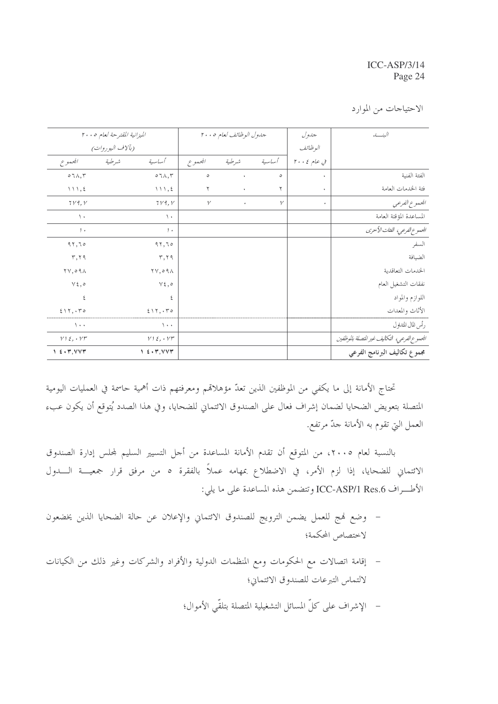الاحتياجات من الموارد

|                                         | الميزانية المقترحة لعام ٢٠٠٥           |              | جدول الوظائف لعام ٢٠٠٥ |              | جدول        | الىنسە                                       |
|-----------------------------------------|----------------------------------------|--------------|------------------------|--------------|-------------|----------------------------------------------|
|                                         | (بآلاف اليوروات)                       |              |                        |              | الوظائف     |                                              |
| المجموع                                 | أساسية<br>شرطية                        | المجموع      | شرطية                  | أساسية       | في عام ٢٠٠٤ |                                              |
| $\circ \tau \wedge, \tau$               | $\circ \tau \wedge, \tau$              | $\circ$      | $\bullet$              | $\circ$      | $\bullet$   | الفئة الفنية                                 |
| 111,5                                   | $\wedge \wedge \wedge , \xi$           | $\mathbf{r}$ | $\bullet$              | ٢            | $\bullet$   | فئة الحدمات العامة                           |
| 719, V                                  | 719, V                                 | $\mathcal V$ | $\bullet$              | $\mathcal V$ | $\bullet$   | الجمموع الفرعبي                              |
| $\lambda$                               | $\lambda$                              |              |                        |              |             | المساعدة المؤقتة العامة                      |
| $, \cdot$                               | $, \cdot$                              |              |                        |              |             | الجموع الفرعي، الفثات الأخرى                 |
| 97,70                                   | 97,70                                  |              |                        |              |             | السفر                                        |
| $\mathbf{r}, \mathbf{r}$                | $\mathbf{r}, \mathbf{r}$               |              |                        |              |             | الضيافة                                      |
| $\gamma \gamma$ , $\circ \gamma \wedge$ | $\forall \forall, \circ \forall \land$ |              |                        |              |             | الخدمات التعاقدية                            |
| $Y\xi, \circ$                           | $Y\xi, \circ$                          |              |                        |              |             | نفقات التشغيل العام                          |
| ٤                                       | ٤                                      |              |                        |              |             | اللوازم والمواد                              |
| 517, 50                                 | 517, 50                                |              |                        |              |             | الأثاث والمعدات                              |
| $\lambda$                               | $\lambda$                              |              |                        |              |             | رأس للال للتداول                             |
| $V1\xi, V1$                             | $V1\xi, V1$                            |              |                        |              |             | الجموع الفرعي، التكاليف غير التصلة بالموظفين |
| $1 \leq \cdot \tau, VV\tau$             | 1.5.7, VVT                             |              |                        |              |             | مجموع تكاليف البرنامج الفرعي                 |

تحتاج الأمانة إلى ما يكفي من الموظفين الذين تعدّ مؤهلاقمم ومعرفتهم ذات أهمية حاسمة في العمليات اليومية المتصلة بتعويض الضحايا لضمان إشراف فعال على الصندوق الائتماني للضحايا، وفي هذا الصدد يُتوقع أن يكون عبء العمل التي تقوم به الأمانة جدّ مرتفع.

بالنسبة لعام ٢٠٠٥، من المتوقع أن تقدم الأمانة المساعدة من أجل التسيير السليم لمحلس إدارة الصندوق الائتماني للضحايا، إذا لزم الأمر، في الاضطلاع بمهامه عملاً بالفقرة ٥ من مرفق قرار جمعيـــة الــــدول الأطراف ICC-ASP/1 Res.6 وتتضمن هذه المساعدة على ما يلي:

- وضع فمج للعمل يضمن الترويج للصندوق الائتماني والإعلان عن حالة الضحايا الذين يخضعون  $\sim$   $-$ لاختصاص المحكمة؛
- إقامة اتصالات مع الحكومات ومع المنظمات الدولية والأفراد والشركات وغير ذلك من الكيانات لالتماس التبرعات للصندوق الائتماني؛
	- الإشراف على كلِّ المسائل التشغيلية المتصلة بتلقَّى الأموال؛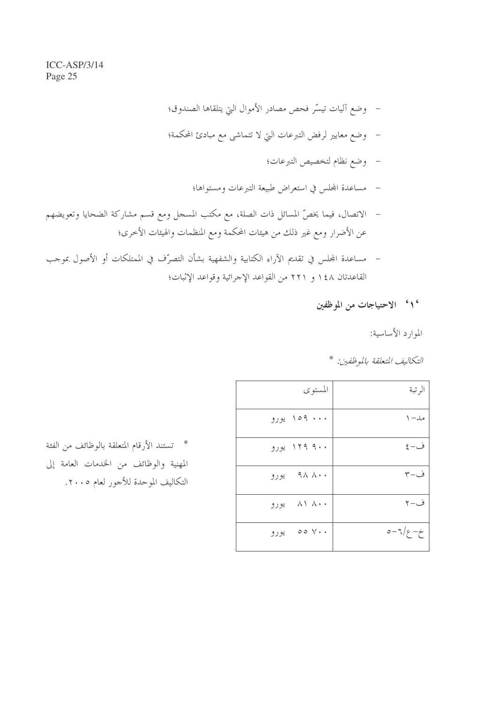- وضع آليات تيسَّر فحص مصادر الأموال التي يتلقاها الصندوق؛
- وضع معايير لرفض التبرعات التي لا تتماشى مع مبادئ المحكمة؛
	- وضع نظام لتخصيص التبرعات؛
	- مساعدة المحلس في استعراض طبيعة التبرعات ومستواها؛
- الاتصال، فيما يخصُّ المسائل ذات الصلة، مع مكتب المسجل ومع قسم مشاركة الضحايا وتعويضهم عن الأضرار ومع غير ذلك من هيئات المحكمة ومع المنظمات والهيئات الأخرى؛
- مساعدة المحلس في تقديم الآراء الكتابية والشفهية بشأن التصرُّف في الممتلكات أو الأصول بموجب القاعدتان ١٤٨ و ٢٢١ من القواعد الإجرائية وقواعد الإثبات؛
	- ' ( ' الاحتياجات من الموظفين

الموارد الأساسية:

التكاليف المتعلقة بالموظفين: \*

| المستوى                                | الرتبة             |
|----------------------------------------|--------------------|
| ۱۵۹  ورو                               | مد– ۱              |
| ۱۲۹ ۹۰۰ یورو                           | $\xi-\dot{\omega}$ |
| ۹۸ ۸۰۰ يورو                            | ف−۳                |
| $\wedge \wedge \wedge \cdots$<br>يورو  | ف−۲                |
| $\circ \circ \vee \cdot \cdot$<br>يورو | $0 - 7/2 - 2$      |

\* تستند الأرقام المتعلقة بالوظائف من الفئة المهنية والوظائف من الخدمات العامة إلى التكاليف الموحدة للأجور لعام ٢٠٠٥.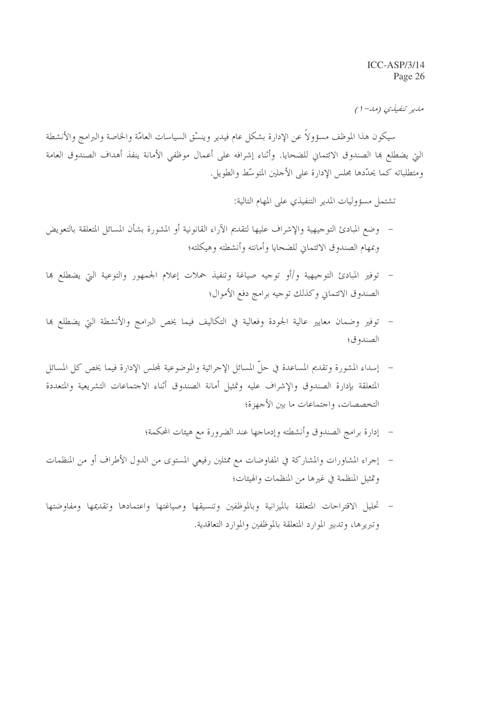مدير تنفيذي (مد-۱)

سيكون هذا الموظف مسؤولاً عن الإدارة بشكل عام فيدير وينسّق السياسات العامّة والخاصة والبرامج والأنشطة التي يضطلع ها الصندوق الائتماني للضحايا. وأثناء إشرافه على أعمال موظفي الأمانة ينفذ أهداف الصندوق العامة ومتطلباته كما يحدّدها مجلس الإدارة على الأحلين المتوسّط والطويل.

تشتمل مسؤوليات المدير التنفيذي على المهام التالية:

- وضع المبادئ التوجيهية والإشراف عليها لتقديم الآراء القانونية أو المشورة بشأن المسائل المتعلقة بالتعويض وبمهام الصندوق الائتماني للضحايا وأمانته وأنشطته وهيكلته؛
- توفير المبادئ التوجيهية و/أو توجيه صياغة وتنفيذ حملات إعلام الجمهور والتوعية التي يضطلع بما  $\mathcal{L}_{\mathcal{A}}$ الصندوق الائتماني وكذلك توجيه برامج دفع الأموال؛
- توفير وضمان معايير عالية الجودة وفعالية في التكاليف فيما يخص البرامج والأنشطة التي يضطلع ها الصندو ق؛
- إسداء المشورة وتقديم المساعدة في حلَّ المسائل الإجرائية والموضوعية لمجلس الإدارة فيما يخص كل المسائل المتعلقة بإدارة الصندوق والإشراف عليه وتمثيل أمانة الصندوق أثناء الاجتماعات التشريعية والمتعددة التخصصات، واحتماعات ما بين الأجهزة؛
	- إدارة برامج الصندوق وأنشطته وإدماجها عند الضرورة مع هيئات المحكمة؛
- إجراء المشاورات والمشاركة في المفاوضات مع ممثلين رفيعي المستوى من الدول الأطراف أو من المنظمات وتمثيل المنظمة في غيرها من المنظمات والهيئات؛
- تحليل الاقتراحات المتعلقة بالميزانية وبالموظفين وتنسيقها وصياغتها واعتمادها وتقديمها ومفاوضتها وتبريرها، وتدبير الموارد المتعلقة بالموظفين والموارد التعاقدية.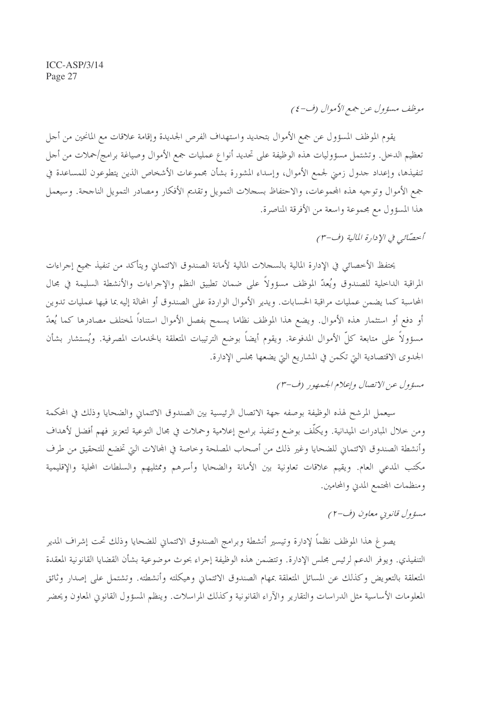### موظف مسؤول عن جمع الأموال (ف-٤)

يقوم الموظف المسؤول عن جمع الأموال بتحديد واستهداف الفرص الجديدة وإقامة علاقات مع المانحين من أجل تعظيم الدخل. وتشتمل مسؤوليات هذه الوظيفة على تحديد أنواع عمليات جمع الأموال وصياغة برامج/حملات من أجل تنفيذها، وإعداد حدول زمني لجمع الأموال، وإسداء المشورة بشأن مجموعات الأشخاص الذين يتطوعون للمساعدة في جمع الأموال وتوجيه هذه المحموعات، والاحتفاظ بسجلات التمويل وتقديم الأفكار ومصادر التمويل الناجحة. وسيعمل هذا المسؤول مع مجموعة واسعة من الأفرقة المناصرة.

أحصّائبي في الإدارة المالية (ف-٣)

يحتفظ الأخصائي في الإدارة المالية بالسجلات المالية لأمانة الصندوق الائتماني ويتأكد من تنفيذ جميع إجراءات المراقبة الداخلية للصندوق ويُعدّ الموظف مسؤولاً على ضمان تطبيق النظم والإجراءات والأنشطة السليمة في محال المحاسبة كما يضمن عمليات مراقبة الحسابات. ويدير الأموال الواردة على الصندوق أو المحالة إليه بما فيها عمليات تدوين أو دفع أو استثمار هذه الأموال. ويضع هذا الموظف نظاما يسمح بفصل الأموال استناداً لمختلف مصادرها كما يُعدّ مسؤولاً على متابعة كلِّ الأموال المدفوعة. ويقوم أيضاً بوضع الترتيبات المتعلقة بالخدمات المصرفية. ويُستشار بشأن الجدوى الاقتصادية التي تكمن في المشاريع التي يضعها مجلس الإدارة.

### مسؤول عن الاتصال وإعلام الجيمهور (ف-٣)

سيعمل المرشح لهذه الوظيفة بوصفه جهة الاتصال الرئيسية بين الصندوق الائتماني والضحايا وذلك في المحكمة ومن خلال المبادرات الميدانية. ويكلَّف بوضع وتنفيذ برامج إعلامية وحملات في مجال التوعية لتعزيز فهم أفضل لأهداف وأنشطة الصندوق الائتمان للضحايا وغير ذلك من أصحاب المصلحة وخاصة في المحالات التي تخضع للتحقيق من طرف مكتب المدعى العام. ويقيم علاقات تعاونية بين الأمانة والضحايا وأسرهم وممثليهم والسلطات المحلية والإقليمية ومنظمات المحتمع المدني والمحامين.

#### مسؤول قانويي معاون (ف-٢)

يصوغ هذا الموظف نظماً لإدارة وتيسير أنشطة وبرامج الصندوق الائتماني للضحايا وذلك تحت إشراف المدير التنفيذي. ويوفر الدعم لرئيس مجلس الإدارة. وتتضمن هذه الوظيفة إجراء بحوث موضوعية بشأن القضايا القانونية المعقدة المتعلقة بالتعويض وكذلك عن المسائل المتعلقة بمهام الصندوق الائتماني وهيكلته وأنشطته. وتشتمل على إصدار وثائق المعلومات الأساسية مثل الدراسات والتقارير والآراء القانونية وكذلك المراسلات. وينظم المسؤول القانوين المعاون ويحضر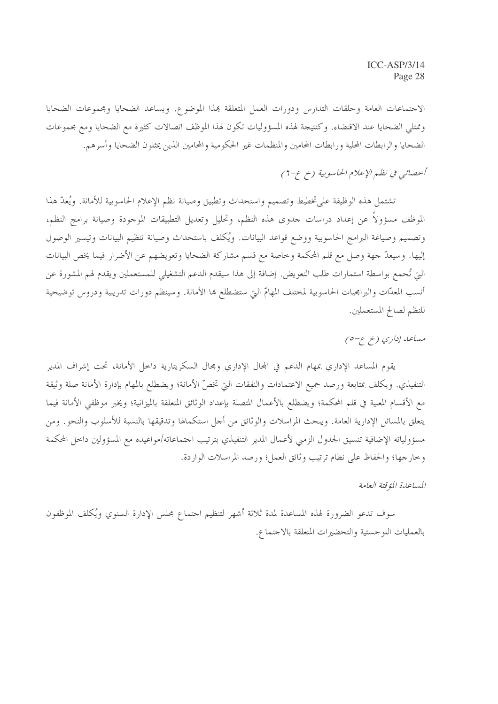الاجتماعات العامة وحلقات التدارس ودورات العمل المتعلقة بمذا الموضوع. ويساعد الضحايا ومجموعات الضحايا وممثلي الضحايا عند الاقتضاء. وكنتيجة لهذه المسؤوليات تكون لهذا الموظف اتصالات كثيرة مع الضحايا ومع مجموعات الضحايا والرابطات المحلية ورابطات المحامين والمنظمات غير الحكومية والمحامين الذين يمثلون الضحايا وأسرهم.

### أبحصائبي في نظم الإعلام الحاسوبية (خ ع-7)

تشتمل هذه الوظيفة على تخطيط وتصميم واستحداث وتطبيق وصيانة نظم الإعلام الحاسوبية للأمانة. ويُعدّ هذا الموظف مسؤولاً عن إعداد دراسات جدوى هذه النظم، وتحليل وتعديل التطبيقات الموجودة وصيانة برامج النظم، وتصميم وصياغة البرامج الحاسوبية ووضع قواعد البيانات. ويُكلف باستحداث وصيانة تنظيم البيانات وتيسير الوصول إليها. وسيعدَّ جهة وصل مع قلم المحكمة وخاصة مع قسم مشاركة الضحايا وتعويضهم عن الأضرار فيما يخص البيانات الَّتِي تُحمع بواسطة استمارات طلب التعويض. إضافة إلى هذا سيقدم الدعم التشغيلي للمستعملين ويقدم لهم المشورة عن أنسب المعدّات والبرامجيات الحاسوبية لمختلف المهامّ التي ستضطلع بما الأمانة. وسينظم دورات تدريبية ودروس توضيحية للنظم لصالح المستعملين.

مساعد إداري (خ ع-٥)

يقوم المساعد الإداري بمهام الدعم في المحال الإداري ومجال السكريتارية داخل الأمانة، تحت إشراف المدير التنفيذي. ويكلف بمتابعة ورصد جميع الاعتمادات والنفقات التي تخصُّ الأمانة؛ ويضطلع بالمهام بإدارة الأمانة صلة وثيقة مع الأقسام المعنية في قلم المحكمة؛ ويضطلع بالأعمال المتصلة بإعداد الوثائق المتعلقة بالميزانية؛ ويخبر موظفي الأمانة فيما يتعلق بالمسائل الإدارية العامة. ويبحث المراسلات والوثائق من أجل استكمالها وتدقيقها بالنسبة للأسلوب والنحو. ومن مسؤولياته الإضافية تنسيق الجدول الزمني لأعمال المدير التنفيذي بترتيب احتماعاته/مواعيده مع المسؤولين داخل المحكمة وخارجها؛ والحفاظ على نظام ترتيب وثائق العمل؛ ورصد المراسلات الواردة.

المساعدة المؤقتة العامة

سوف تدعو الضرورة لهذه المساعدة لمدة ثلاثة أشهر لتنظيم اجتماع مجلس الإدارة السنوي ويُكلف الموظفون بالعمليات اللو حستية والتحضيرات المتعلقة بالاحتماع.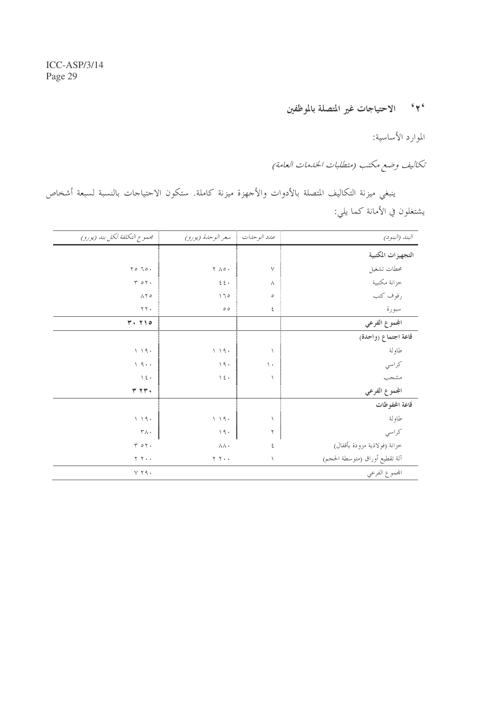### ٢٠ - الاحتياجات غير المتصلة بالموظفين

الموارد الأساسية:

تكاليف وضع مكتب (متطلبات الخدمات العامة)

ينبغي ميزنة التكاليف المتصلة بالأدوات والأجهزة ميزنة كاملة. ستكون الاحتياجات بالنسبة لسبعة أشخاص يشتغلون في الأمانة كما يلي:

| محموع التكلفة لكل بند (يورو)      | سعر الوحدة (يورو)      | عدد الوحدات    | البند (البنود)                 |
|-----------------------------------|------------------------|----------------|--------------------------------|
|                                   |                        |                | التجهيزات المكتبية             |
| $\gamma \circ \gamma \circ \cdot$ | $Y \wedge \circ \cdot$ | $\vee$         | محطات تشغيل                    |
| $Y \circ Y$                       | $\xi$<br>$\xi$ .       | $\wedge$       | خزانة مكتبية                   |
| $\wedge$ $\uparrow$ $\circ$       | 170                    | $\circ$        | رفوف كتب                       |
| $\Upsilon$ $\Upsilon$ $\Upsilon$  | $\circ$ $\circ$        | ٤              | سبورة                          |
| $Y \cdot Y \cdot 0$               |                        |                | الجموع الفرعي                  |
|                                   |                        |                | قاعة اجتماع (واحدة)            |
| 1.19.                             | 1.19.                  | $\lambda$      | طاولة                          |
| 19.1                              | 19.                    | $\backslash$ . | كراسي                          |
| $\setminus$ { $\cdot$             | $\backslash$ { $\cdot$ | $\lambda$      | مشجب                           |
| Y Y Y                             |                        |                | المجموع الفرعي                 |
|                                   |                        |                | قاعة المحفوظات                 |
| 1.19.                             | 1.19.                  |                | طاولة                          |
| $\mathsf{r}\wedge\cdot$           | 19.                    | ٢              | كراسي                          |
| $Y \circ Y$                       | 八八、                    | ٤              | خزانة (فولاذية مزودة بأقفال)   |
| $Y Y \cdot \cdot$                 | $Y Y \cdot \cdot$      | $\lambda$      | آلة تقطيع أوراق (متوسطة الحجم) |
| $Y$ $Y$ $9$ $\cdot$               |                        |                | المحموع الفرعي                 |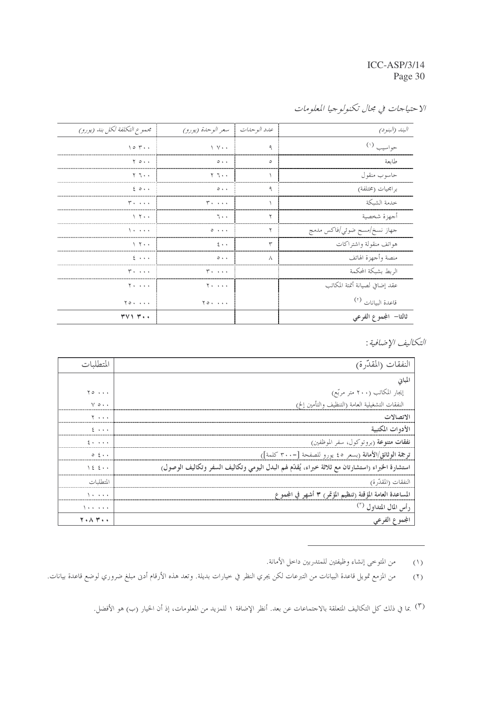الاحتياجات في مجال تكنولوجيا المعلومات

| مجموع التكلفة لكل بند (يورو)      | عدد الوحدات   سعر الوحدة (يورو)   |   | البند (البنو د)                |
|-----------------------------------|-----------------------------------|---|--------------------------------|
| 10.5                              | $\vee$ $\vee$ $\cdot$             | ٩ | حواسيب (۱)                     |
| $Y$ $0 \cdot \cdot$               | $0 + 1$                           | ٥ | طايعة                          |
| ۰ ، ۲ ۲                           | ۲ ٦٠٠                             |   | حاسوب منقول                    |
| 20.1                              | $\circ \cdot \cdot$               | ٩ | برامجيات (مختلفة)              |
| <b>T. </b>                        | <b>T. </b>                        |   | خدمة الشىكة                    |
| $\lambda$ $\tau$                  | 7.1                               | ۲ | أجهزة شخصية                    |
| .                                 | $\circ \cdot \cdot \cdot$         | ۲ | جهاز نسخ/مسح ضوئي/فاكس مدمج    |
| $\vee$ $\vee$ $\cdot$             | $2 \cdot \cdot$                   | ٣ | هواتف منقولة واشتراكات         |
| $5 + 1$                           | $\circ \cdot \cdot$               | Λ | منصة وأجهزة الهاتف             |
| <b>T. </b>                        | $r \ldots$                        |   | الربط بشبكة المحكمة            |
| $Y \cdot \cdot \cdot \cdot$       | $Y \cdot \cdot \cdot \cdot$       |   | عقد إضافي لصيانة أتمتة المكاتب |
| $Y \circ \cdot \cdot \cdot \cdot$ | $Y \circ \cdot \cdot \cdot \cdot$ |   | قاعدة البيانات <sup>(٢)</sup>  |
| 371 T                             |                                   |   | ثالثا– المجموع الفرعي          |

التكاليف الإضافية :

|                                         | لنفقات (المقدّرة)                                                                                |
|-----------------------------------------|--------------------------------------------------------------------------------------------------|
|                                         |                                                                                                  |
| $\gamma \circ \cdots$                   | إيجار المكاتب (٢٠٠ متر مربّع)                                                                    |
| $V \circ \cdot \cdot$                   | النفقات التشغيلية العامة (التنظيف والتأمين إلخ)                                                  |
| $\cdots$                                | لاتصالات                                                                                         |
| $2 \rightarrow \rightarrow \rightarrow$ | الأدوات المكتبية                                                                                 |
| $2 + 1 + 1$                             | <b>نفقات متنوعة</b> (بروتوكول، سفر الموظفين)                                                     |
| $0 \leq \cdots$                         | ترجمة الوثائق/الأمانة (بسعر ٤٥ يورو للصفحة [=٣٠٠ كلمة])                                          |
| 12.5                                    | استشارة الخبراء (استشارتان مع ثلاثة خبراء، يُقدّم لهم البدل اليومي وتكاليف السفر وتكاليف الوصول) |
| لمتطلبات                                | النفقات (المقدرة)                                                                                |
| $\cdots$                                | اعدة العامة المؤقتة (تنظيم المؤتمر) ٣ أشهر في المجموع                                            |
| .                                       | رأس المال المتداول <sup>(٣)</sup>                                                                |
| 7. A T                                  | لجموع الفرعي                                                                                     |

من المتوحى إنشاء وظيفتين للمتدربين داحل الأمانة.  $(1)$ 

من المزمع تمويل قاعدة البيانات من التبرعات لكن يجري النظر في حيارات بديلة. وتعد هذه الأرقام أدنى مبلغ ضروري لوضع قاعدة بيانات.  $(7)$ 

<sup>(</sup>٣) بما في ذلك كل التكاليف المتعلقة بالاجتماعات عن بعد. أنظر الإضافة ١ للمزيد من المعلومات، إذ أن الخيار (ب) هو الأفضل.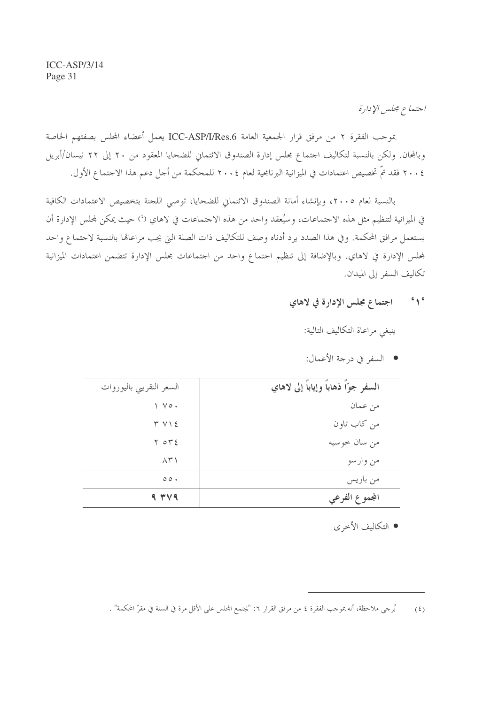اجتماع مجلس الإدارة

بموجب الفقرة ٢ من مرفق قرار الجمعية العامة ICC-ASP/I/Res.6 يعمل أعضاء المجلس بصفتهم الخاصة وبالمجان. ولكن بالنسبة لتكاليف اجتماع مجلس إدارة الصندوق الائتماني للضحايا المعقود من ٢٠ إلى ٢٢ نيسان/أبريل ٢٠٠٤ فقد تمَّ تخصيص اعتمادات في الميزانية البرنامجية لعام ٢٠٠٤ للمحكمة من أجل دعم هذا الاجتماع الأول.

بالنسبة لعام ٢٠٠٥، وبإنشاء أمانة الصندوق الائتماني للضحايا، توصى اللجنة بتخصيص الاعتمادات الكافية في الميزانية لتنظيم مثل هذه الاحتماعات، وسيُعقد واحد من هذه الاحتماعات في لاهاي (') حيث يمكن لمحلس الإدارة أن يستعمل مرافق المحكمة. وفي هذا الصدد يرد أدناه وصف للتكاليف ذات الصلة التي يجب مراعالها بالنسبة لاحتماع واحد لمجلس الإدارة في لاهاي. وبالإضافة إلى تنظيم اجتماع واحد من اجتماعات مجلس الإدارة تتضمن اعتمادات الميزانية تكاليف السفر إلى الميدان.

<mark>'۱</mark> مسموع اجتماع مجلس الإدارة في لاهاي

ينبغي مراعاة التكاليف التالية:

| السعر التقريبي باليوروات      | السفر جوّاً ذهاباً وإياباً إلى لاهاي |
|-------------------------------|--------------------------------------|
| $\vee$ $\vee$ $\circ$ $\cdot$ | من عمان                              |
| T V                           | من كاب تاون                          |
| $Y \circ Y$                   | من سان خوسيه                         |
| $\wedge$ $\uparrow$ $\wedge$  | من وارسو                             |
| $\circ \circ \cdot$           | من باريس                             |
| 9.74                          | المجموع الفرعي                       |

• السفر في درجة الأعمال:

• التكاليف الأخرى

يُرجى ملاحظة، أنه بموجب الفقرة ٤ من مرفق القرار ٦: "يجتمع المجلس على الأقل مرة في السنة في مقرّ المحكمة" .  $(5)$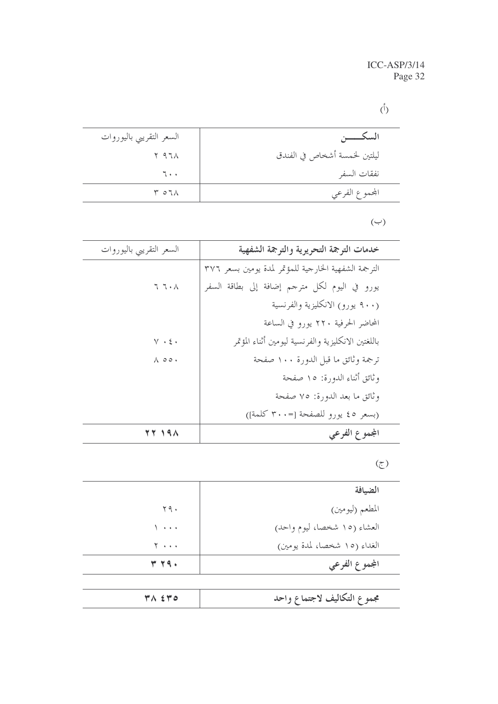## $(\mathring{\mathcal{V}})$

| السكــــــــن                | السعر التقريبي باليوروات  |
|------------------------------|---------------------------|
| ليلتين لخمسة أشخاص في الفندق | $Y$ 97 $\Lambda$          |
| نفقات السفر                  | 7.1                       |
| المحموع الفرعي               | $\uparrow$ 0 7 $\uparrow$ |

### $(\hookrightarrow)$

| السعر التقريبي باليوروات                   | خدمات الترجمة التحريرية والترجمة الشفهية             |
|--------------------------------------------|------------------------------------------------------|
|                                            | الترجمة الشفهية الخارجية للمؤتمر لمدة يومين بسعر ٣٧٦ |
| $\mathcal{T}\ \mathcal{T}\cdot\mathcal{A}$ | يورو في اليوم لكل مترجم إضافة إلى بطاقة السفر        |
|                                            | (٩٠٠ يورو) الانكليزية والفرنسية                      |
|                                            | المحاضر الحرفية ٢٢٠ يورو في الساعة                   |
| $Y \cdot \xi$ .                            | باللغتين الانكليزية والفرنسية ليومين أثناء المؤتمر   |
| $\wedge\; \circ \circ \cdot$               | ترجمة وثائق ما قبل الدورة ١٠٠ صفحة                   |
|                                            | وثائق أثناء الدورة: ١٥ صفحة                          |
|                                            | وثائق ما بعد الدورة: ٧٥ صفحة                         |
|                                            | (بسعر ٤٥ يورو للصفحة [-٣٠٠ كلمة])                    |
| <b>TY 191</b>                              | المجموع الفرعي                                       |

### $\tilde{\epsilon}$

| الضيافة                      |                       |
|------------------------------|-----------------------|
| المطعم (ليومين)              | 49.                   |
| العشاء (١٥ شخصا، ليوم واحد)  | .                     |
| الغداء (١٥ شخصا، لمدة يومين) | $Y \cdot \cdot \cdot$ |
| المجموع الفرعي               | <b>٣٢٩٠</b>           |
|                              |                       |

| ۳۸ ٤٣٥ | مجموع التكاليف لاجتماع واحد |
|--------|-----------------------------|
|        |                             |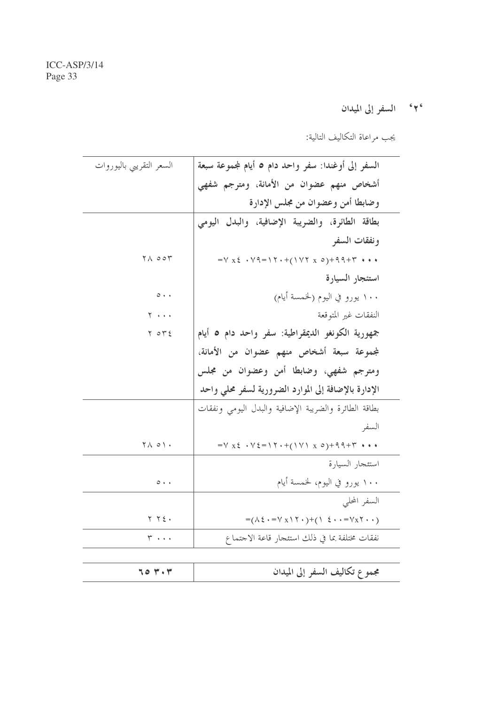۲<sup>۰</sup> السفر إلى الميدان

يجب مراعاة التكاليف التالية:

| السعر التقريبي باليوروات                                        | السفر إلى أوغندا: سفر واحد دام ٥ أيام لمجموعة سبعة                                                      |
|-----------------------------------------------------------------|---------------------------------------------------------------------------------------------------------|
|                                                                 | أشخاص منهم عضوان من الأمانة، ومترجم شفهي                                                                |
|                                                                 | وضابطا أمن وعضوان من مجلس الإدارة                                                                       |
|                                                                 | بطاقة الطائرة، والضريبة الإضافية، والبدل اليومي                                                         |
|                                                                 | ونفقات السفر                                                                                            |
| $\forall \wedge \circ \circ \forall$                            | $=V X \xi + V Q = V Y + ((V Y X Q) + Q Q + Y * R)$                                                      |
|                                                                 | استئجار السيارة                                                                                         |
| $\circ \cdot \cdot$                                             | ۱۰۰ يورو في اليوم (لخمسة أيام)                                                                          |
| $Y \rightarrow \cdots$                                          | النفقات غير المتوقعة                                                                                    |
| $Y \circ Y$                                                     | جمهورية الكونغو الديمقراطية: سفر واحد دام ٥ أيام                                                        |
|                                                                 | لمجموعة سبعة أشخاص منهم عضوان من الأمانة،                                                               |
|                                                                 | ومترجم شفهي، وضابطا أمن وعضوان من مجلس                                                                  |
|                                                                 | الإدارة بالإضافة إلى الموارد الضرورية لسفر محلى واحد                                                    |
|                                                                 | بطاقة الطائرة والضريبة الإضافية والبدل اليومى ونفقات                                                    |
|                                                                 | السفر                                                                                                   |
| $\begin{array}{c} \nabla \wedge \circ \wedge \cdot \end{array}$ | $=V X \xi + V \xi = \Upsilon + (\Upsilon V) X \delta + \zeta + \zeta + \kappa$                          |
|                                                                 | استئجار السيارة                                                                                         |
| $O + 4$                                                         | ۱۰۰ يورو في اليوم، لخمسة أيام                                                                           |
|                                                                 | السفر المحلي                                                                                            |
| $Y Y \xi.$                                                      | $=(\wedge \xi \cdot = \vee x \wedge \zeta \cdot )+(\wedge \xi \cdot \cdot = \vee x \zeta \cdot \cdot )$ |
| ۰۰۰ کا                                                          | نفقات مختلفة بما في ذلك استئجار قاعة الاحتماع                                                           |
|                                                                 |                                                                                                         |
| 704.7                                                           | مجموع تكاليف السفر إلى الميدان                                                                          |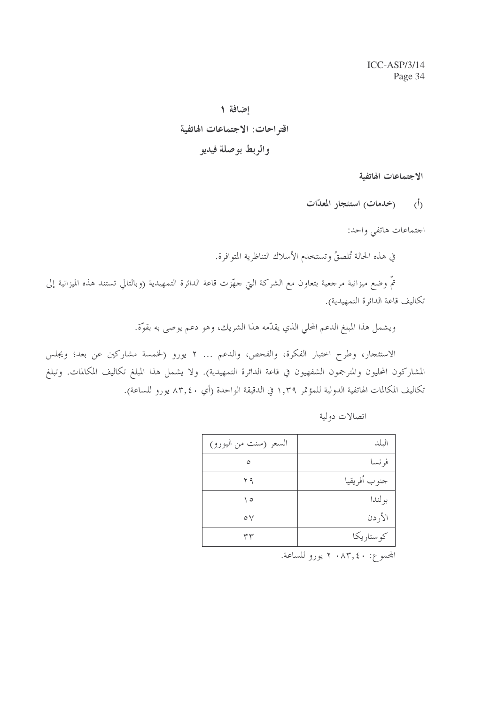إضافة ١ اقتراحات: الاجتماعات الهاتفية والربط بوصلة فيديو

الاجتماعات الهاتفية

(أ) (خدمات) استئجار المعدّات

احتماعات هاتفي واحد:

في هذه الحالة تُلصقُ وتستخدم الأسلاك التناظرية المتوافرة.

تمُّ وضع ميزانية مرجعية بتعاون مع الشركة التي حهّزت قاعة الدائرة التمهيدية (وبالتالي تستند هذه الميزانية إلى تكاليف قاعة الدائرة التمهيدية).

ويشمل هذا المبلغ الدعم المحلي الذي يقدّمه هذا الشريك، وهو دعم يوصى به بقوّة.

الاستئجار، وطرح اختبار الفكرة، والفحص، والدعم ... ٢ يورو (لخمسة مشاركين عن بعد؛ ويجلس المشاركون المحليون والمترجمون الشفهيون في قاعة الدائرة التمهيدية). ولا يشمل هذا المبلغ تكاليف المكالمات. وتبلغ تكاليف المكالمات الهاتفية الدولية للمؤتمر ١,٣٩ في الدقيقة الواحدة (أي ٨٣,٤٠ يورو للساعة).

| السعر (سنت من اليورو) | البلد        |
|-----------------------|--------------|
|                       | فر نسا       |
| ۲۹                    | جنوب أفريقيا |
| ه ۱                   | بو لندا      |
| $\circ \vee$          | الأردن       |
| ۳۳                    | کو ستار یکا  |

اتصالات دولية

المجموع: ٨٣,٤٠ ٢ يورو للساعة.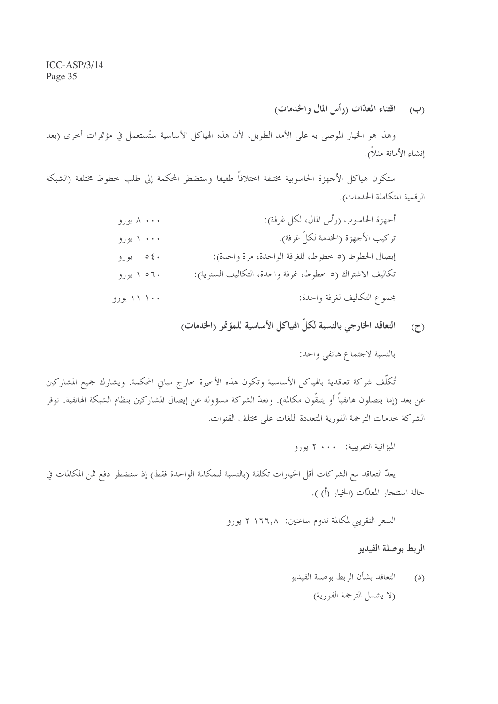(ب) اقتناء المعدّات (رأس المال والخدمات)

وهذا هو الخيار الموصى به على الأمد الطويل، لأن هذه الهياكل الأساسية ستُستعمل في مؤتمرات أخرى (بعد إنشاء الأمانة مثلاً).

ستكون هياكل الأجهزة الحاسوبية مختلفة اختلافاً طفيفا وستضطر المحكمة إلى طلب خطوط مختلفة (الشبكة الرقمية المتكاملة الخدمات).

| ۸ ۰۰۰ يورو  | أجهزة الحاسوب (رأس المال، لكل غرفة):                    |
|-------------|---------------------------------------------------------|
| ۰۰۰ ۱ یورو  | تركيب الأجهزة (الخدمة لكلِّ غرفة):                      |
| ۵٤۰ يورو    | إيصال الخطوط (٥ خطوط، للغرفة الواحدة، مرة واحدة):       |
| ۲۰ ۱ یورو   | تكاليف الاشتراك (٥ خطوط، غرفة واحدة، التكاليف السنوية): |
| ۱۰۰ ۱۱ يورو | مجموع التكاليف لغرفة واحدة:                             |

التعاقد الخارجي بالنسبة لكلّ الهياكل الأساسية للمؤتمر (الخدمات)  $(7)$ 

بالنسبة لاحتماع هاتفي واحد:

تُكلَّف شركة تعاقدية بالهياكل الأساسية وتكون هذه الأخيرة خارج مباني المحكمة. ويشارك جميع المشاركين عن بعد (إما يتصلون هاتفياً أو يتلقُّون مكالمة). وتعدُّ الشركة مسؤولة عن إيصال المشاركين بنظام الشبكة الهاتفية. توفر الشركة حدمات الترجمة الفورية المتعددة اللغات على مختلف القنوات.

الميزانية التقريبية: ٢٠٠٠ يورو

يعدُّ التعاقد مع الشركات أقل الخيارات تكلفة (بالنسبة للمكالمة الواحدة فقط) إذ سنضطر دفع ثمن المكالمات في حالة استئجار المعدّات (الخيار (أ) ).

السعر التقريبي لمكالمة تدوم ساعتين: ١٦٦٫٨ ٢ يورو

الربط بوصلة الفيديو

التعاقد بشأن الربط بوصلة الفيديو  $(2)$ (لا يشمل الترجمة الفورية)